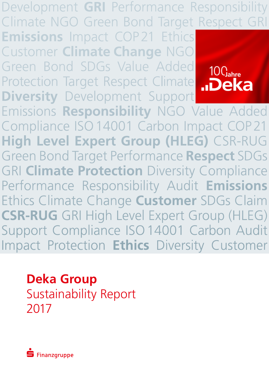Development **GRI** Performance Responsibility Development GRI Performance Responsibility<br>Climate NGO Green Bond Target Respect GRI **Emissions** Impact COP21 Ethics

Customer Climate Change NGO

Green Bond SDGs Value Added

Customer **Climate Change** NGO<br>Green Bond SDGs Value Added<br>Protection Target Respect Climate

**Diversity Development Support Diversity** Development Support **Responsibility** NGO Value Added Compliance ISO 14001 Carbon Impact COP21 **High Level Expert Group (HLEG)** CSR-RUG Green Bond Target Performance Respect SDGs **GRI Climate Protection** Diversity Compliance Performance Responsibility Audit Emissions **Ethics Climate Change Customer SDGs Claim CSR-RUG** GRI High Level Expert Group (HLEG) Support Compliance ISO 14001 Carbon Audit Impact Protection Ethics Diversity Customer **CSR-RUG** GRI High Level Expert Group (HLEG) Support Compliance ISO14001 Carbon Audit Impact Protection **Ethics** Diversity Customer

**Deka Group**  Sustainability Report 2017

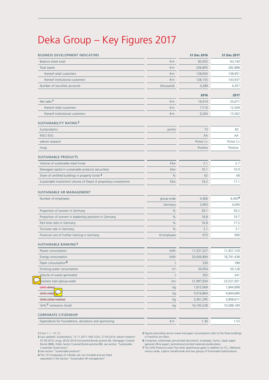# Deka Group – Key Figures 2017

| <b>BUSINESS DEVELOPMENT INDICATORS</b>                           |                | 31 Dec 2016 | 31 Dec 2017 |
|------------------------------------------------------------------|----------------|-------------|-------------|
| Balance sheet total                                              | €m             | 85,955      | 93,740      |
| Total assets                                                     | $\n  m\n$      | 256,805     | 282,888     |
| thereof retail customers                                         | €m             | 128,650     | 138,951     |
| thereof institutional customers                                  | €m             | 128,155     | 143,937     |
| Number of securities accounts                                    | (thousand)     | 4,289       | 4,357       |
|                                                                  |                | 2016        | 2017        |
| Net sales <sup>1</sup>                                           | €m             | 16,914      | 25,671      |
| thereof retail customers                                         | €m             | 7,710       | 12,309      |
| thereof institutional customers                                  | €m             | 9,204       | 13,362      |
| <b>SUSTAINABILITY RATING 2</b>                                   |                |             |             |
| Sustainalytics                                                   | points         | 73          | 83          |
| <b>MSCIESG</b>                                                   |                | AA          | AA          |
| oekom research                                                   |                | Prime C+    | Prime C+    |
| imug                                                             |                | Positive    | Positive    |
| <b>SUSTAINABLE PRODUCTS</b>                                      |                |             |             |
| Volume of sustainable retail funds                               | €bn            | 2.1         | 2.7         |
| Managed capital in sustainable products (securities)             | €bn            | 10.1        | 10.9        |
| Share of certified buildings in property funds 3                 | $\frac{0}{0}$  | 62          | 68          |
| Sustainable investment volume of Depot A proprietary investments | €bn            | 18.2        | 17.1        |
| SUSTAINABLE HR MANAGEMENT                                        |                |             |             |
| Number of employees                                              | group-wide     | 4,406       | 4,4924      |
|                                                                  | Germany        | 3,993       | 4,094       |
| Proportion of women in Germany                                   | $\%$           | 39.1        | 39.2        |
| Proportion of women in leadership positions in Germany           | %              | 18.8        | 19.7        |
| Part-time ratio in Germany                                       | %              | 16.8        | 17.5        |
| Turnover rate in Germany                                         | %              | 3.1         | 3.1         |
| Financial cost of further training in Germany                    | €/employee     | 973         | 900         |
| <b>SUSTAINABLE BANKING 5</b>                                     |                |             |             |
| Power consumption                                                | kWh            | 11,531,527  | 11,457,159  |
| Energy consumption                                               | kWh            | 20,056,894  | 18,791,438  |
| Paper consumption <sup>6</sup>                                   | t              | 530         | 788         |
| Drinking water consumption                                       | m <sup>3</sup> | 34,954      | 39,128      |
| Volume of waste generated                                        | t              | 302         | 241         |
| susiness trips (group-wide)                                      | km             | 21,997,834  | 23,521,951  |
| GHG direct                                                       | kg             | 1,815,069   | 1,844,898   |
| <b>GHG</b> indire                                                | kg             | 5,016,864   | 4,844,680   |
| <b>GHG other indirect</b>                                        | kg             | 3,361,295   | 3,898,611   |
| GHG <sup>7</sup> -emissions (total)                              | kg             | 10,193,228  | 10,588,189  |
| <b>CORPORATE CITIZENSHIP</b>                                     |                |             |             |
| Expenditure for foundations, donations and sponsoring            | $\notin$ m     | 1.36        | 1.53        |

**1** From 1.1. –31.12.

**2** Last updated: Sustainalytics: 13.11.2017; MSCI ESG: 27.04.2016; oekom research: 07.09.2016; imug: 28.02.2018 (Uncovered Bonds positive (B), Mortgage Covered Bonds (BBB), Public Sector Covered Bonds positive BB); see section "Sustainable

Corporate Governance". **3** See section "Sustainable products".

**4** The 157 employees of S Broker are not included and are listed separately in the Section "Sustainable HR management".

**5** Figures (excluding service travel and paper consumption) refer to the three buildings in Frankfurt am Main.

**6** Comprises: Letterhead, pre-printed documents, envelopes, forms, copier paper (general office paper), promotional printed materials/publications.

**7** The GHG Protocol covers five other greenhouse gases in addition to CO<sub>2</sub>: Methane, <br>nitrous oxide, sulphur hexafluoride and two groups of fluorinated hydrocarbons.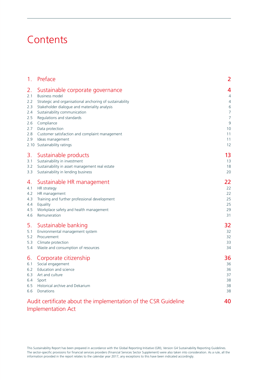# **Contents**

| 1 <sub>1</sub>                                                                 | Preface                                                                                                                                                                                                                                                                                                                                                                   | 2                                                                                          |
|--------------------------------------------------------------------------------|---------------------------------------------------------------------------------------------------------------------------------------------------------------------------------------------------------------------------------------------------------------------------------------------------------------------------------------------------------------------------|--------------------------------------------------------------------------------------------|
| 2.<br>2.1<br>$2.2\phantom{0}$<br>2.3<br>2.4<br>2.5<br>2.6<br>2.7<br>2.8<br>2.9 | Sustainable corporate governance<br><b>Business model</b><br>Strategic and organisational anchoring of sustainability<br>Stakeholder dialogue and materiality analysis<br>Sustainability communication<br>Regulations and standards<br>Compliance<br>Data protection<br>Customer satisfaction and complaint management<br>Ideas management<br>2.10 Sustainability ratings | 4<br>$\overline{4}$<br>$\sqrt{4}$<br>6<br>7<br>$\overline{7}$<br>9<br>10<br>11<br>11<br>12 |
| 3.                                                                             | Sustainable products                                                                                                                                                                                                                                                                                                                                                      | 13                                                                                         |
| 3.1                                                                            | Sustainability in investment                                                                                                                                                                                                                                                                                                                                              | 13                                                                                         |
| 3.2                                                                            | Sustainability in asset management real estate                                                                                                                                                                                                                                                                                                                            | 18                                                                                         |
| 3.3                                                                            | Sustainability in lending business                                                                                                                                                                                                                                                                                                                                        | 20                                                                                         |
| 4.                                                                             | Sustainable HR management                                                                                                                                                                                                                                                                                                                                                 | 22                                                                                         |
| 4.1                                                                            | HR strategy                                                                                                                                                                                                                                                                                                                                                               | 22                                                                                         |
| 4.2                                                                            | HR management                                                                                                                                                                                                                                                                                                                                                             | 22                                                                                         |
| 4.3                                                                            | Training and further professional development                                                                                                                                                                                                                                                                                                                             | 25                                                                                         |
| 4.4                                                                            | Equality                                                                                                                                                                                                                                                                                                                                                                  | 25                                                                                         |
| 4.5                                                                            | Workplace safety and health management                                                                                                                                                                                                                                                                                                                                    | 29                                                                                         |
| 4.6                                                                            | Remuneration                                                                                                                                                                                                                                                                                                                                                              | 31                                                                                         |
| 5.                                                                             | Sustainable banking                                                                                                                                                                                                                                                                                                                                                       | 32                                                                                         |
| 5.1                                                                            | Environmental management system                                                                                                                                                                                                                                                                                                                                           | 32                                                                                         |
| 5.2                                                                            | Procurement                                                                                                                                                                                                                                                                                                                                                               | 32                                                                                         |
| 5.3                                                                            | Climate protection                                                                                                                                                                                                                                                                                                                                                        | 33                                                                                         |
| 5.4                                                                            | Waste and consumption of resources                                                                                                                                                                                                                                                                                                                                        | 34                                                                                         |
| 6.                                                                             | Corporate citizenship                                                                                                                                                                                                                                                                                                                                                     | 36                                                                                         |
| 6.1                                                                            | Social engagement                                                                                                                                                                                                                                                                                                                                                         | 36                                                                                         |
| 6.2                                                                            | Education and science                                                                                                                                                                                                                                                                                                                                                     | 36                                                                                         |
| 6.3                                                                            | Art and culture                                                                                                                                                                                                                                                                                                                                                           | 37                                                                                         |
| 6.4                                                                            | Sport                                                                                                                                                                                                                                                                                                                                                                     | 38                                                                                         |
| 6.5                                                                            | Historical archive and Dekarium                                                                                                                                                                                                                                                                                                                                           | 38                                                                                         |
| 6.6                                                                            | Donations                                                                                                                                                                                                                                                                                                                                                                 | 38                                                                                         |
|                                                                                | Audit certificate about the implementation of the CSR Guideline<br><b>Implementation Act</b>                                                                                                                                                                                                                                                                              | 40                                                                                         |

This Sustainability Report has been prepared in accordance with the Global Reporting Initiative (GRI), Version G4 Sustainability Reporting Guidelines. The sector-specific provisions for financial services providers (Financial Services Sector Supplement) were also taken into consideration. As a rule, all the information provided in the report relates to the calendar year 2017, any exceptions to this have been indicated accordingly.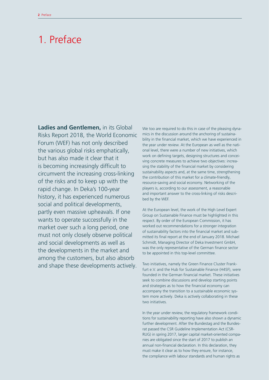# 1. Preface

**Ladies and Gentlemen,** in its Global Risks Report 2018, the World Economic Forum (WEF) has not only described the various global risks emphatically, but has also made it clear that it is becoming increasingly difficult to circumvent the increasing cross-linking of the risks and to keep up with the rapid change. In Deka's 100-year history, it has experienced numerous social and political developments, partly even massive upheavals. If one wants to operate successfully in the market over such a long period, one must not only closely observe political and social developments as well as the developments in the market and among the customers, but also absorb and shape these developments actively.

We too are required to do this in case of the pleasing dynamics in the discussion around the anchoring of sustainability in the financial market, which we have experienced in the year under review. At the European as well as the national level, there were a number of new initiatives, which work on defining targets, designing structures and conceiving concrete measures to achieve two objectives: increasing the stability of the financial market by considering sustainability aspects and, at the same time, strengthening the contribution of this market for a climate-friendly, resource-saving and social economy. Networking of the players is, according to our assessment, a reasonable and important answer to the cross-linking of risks described by the WEF.

At the European level, the work of the High Level Expert Group on Sustainable Finance must be highlighted in this respect. By order of the European Commission, it has worked out recommendations for a stronger integration of sustainability factors into the financial market and submitted its final report at the end of January 2018. Michael Schmidt, Managing Director of Deka Investment GmbH, was the only representative of the German finance sector to be appointed in this top-level committee.

Two initiatives, namely the Green Finance Cluster Frankfurt e.V. and the Hub for Sustainable Finance (H4SF), were founded in the German financial market. These initiatives seek to combine discussions and develop starting points and strategies as to how the financial economy can accompany the transition to a sustainable economic system more actively. Deka is actively collaborating in these two initiatives.

In the year under review, the regulatory framework conditions for sustainability reporting have also shown a dynamic further development. After the Bundestag and the Bundesrat passed the CSR Guideline Implementation Act (CSR-RUG) in spring 2017, larger capital market-oriented companies are obligated since the start of 2017 to publish an annual non-financial declaration. In this declaration, they must make it clear as to how they ensure, for instance, the compliance with labour standards and human rights as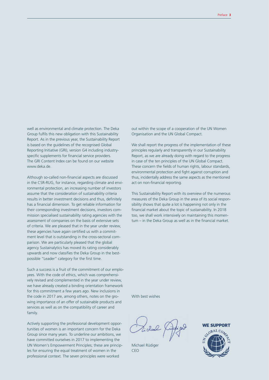well as environmental and climate protection. The Deka Group fulfils this new obligation with this Sustainability Report. As in the previous year, the Sustainability Report is based on the guidelines of the recognised Global Reporting Initiative (GRI), version G4 including industryspecific supplements for financial service providers. The GRI Content Index can be found on our website www.deka.de.

Although so-called non-financial aspects are discussed in the CSR-RUG, for instance, regarding climate and environmental protection, an increasing number of investors assume that the consideration of sustainability criteria results in better investment decisions and thus, definitely has a financial dimension. To get reliable information for their corresponding investment decisions, investors commission specialised sustainability rating agencies with the assessment of companies on the basis of extensive sets of criteria. We are pleased that in the year under review, these agencies have again certified us with a commitment level that is outstanding in the cross-sectoral comparison. We are particularly pleased that the global agency Sustainalytics has moved its rating considerably upwards and now classifies the Deka Group in the bestpossible "Leader" category for the first time.

Such a success is a fruit of the commitment of our employees. With the code of ethics, which was comprehensively revised and complemented in the year under review, we have already created a binding orientation framework for this commitment a few years ago. New inclusions in the code in 2017 are, among others, notes on the growing importance of an offer of sustainable products and services as well as on the compatibility of career and family.

Actively supporting the professional development opportunities of women is an important concern for the Deka Group since many years. To underline our ambitions, we have committed ourselves in 2017 to implementing the UN Women's Empowerment Principles; these are principles for ensuring the equal treatment of women in the professional context. The seven principles were worked

out within the scope of a cooperation of the UN Women Organisation and the UN Global Compact.

We shall report the progress of the implementation of these principles regularly and transparently in our Sustainability Report, as we are already doing with regard to the progress in case of the ten principles of the UN Global Compact. These concern the fields of human rights, labour standards, environmental protection and fight against corruption and thus, incidentally address the same aspects as the mentioned act on non-financial reporting.

This Sustainability Report with its overview of the numerous measures of the Deka Group in the area of its social responsibility shows that quite a lot is happening not only in the financial market about the topic of sustainability. In 2018 too, we shall work intensively on maintaining this momentum – in the Deka Group as well as in the financial market.

With best wishes

Michael Rüdiger CEO

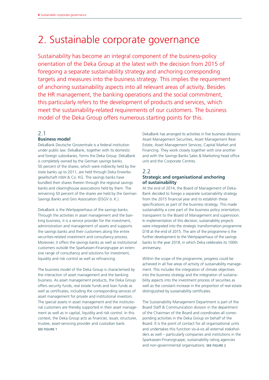# 2. Sustainable corporate governance

Sustainability has become an integral component of the business-policy orientation of the Deka Group at the latest with the decision from 2015 of foregoing a separate sustainability strategy and anchoring corresponding targets and measures into the business strategy. This implies the requirement of anchoring sustainability aspects into all relevant areas of activity. Besides the HR management, the banking operations and the social commitment, this particularly refers to the development of products and services, which meet the sustainability-related requirements of our customers. The business model of the Deka Group offers numerous starting points for this.

# 2.1

# **Business model**

DekaBank Deutsche Girozentrale is a federal institution under public law. DekaBank, together with its domestic and foreign subsidiaries, forms the Deka Group. DekaBank is completely owned by the German savings banks. 50 percent of the shares, which were indirectly held by the state banks up to 2011, are held through Deka Erwerbsgesellschaft mbH & Co. KG. The savings banks have bundled their shares therein through the regional savings banks and clearinghouse associations held by them. The remaining 50 percent of the shares are held by the German Savings Banks and Giro Association (DSGV ö. K.).

DekaBank is the Wertpapierhaus of the savings banks. Through the activities in asset management and the banking business, it is a service provider for the investment, administration and management of assets and supports the savings banks and their customers along the entire securities-related investment and consultancy process. Moreover, it offers the savings banks as well as institutional customers outside the Sparkassen-Finanzgruppe an extensive range of consultancy and solutions for investment, liquidity and risk control as well as refinancing.

The business model of the Deka Group is characterised by the interaction of asset management and the banking business. As asset management products, the Deka Group offers security funds, real estate funds and loan funds as well as certificates, including the corresponding services of asset management for private and institutional investors. The special assets in asset management and the institutional customers are thereby supported in their asset management as well as in capital, liquidity and risk control. In this context, the Deka Group acts as financier, issuer, structurer, trustee, asset-servicing provider and custodian bank. SEE FIGURE 1

DekaBank has arranged its activities in five business divisions: Asset Management Securities, Asset Management Real Estate, Asset Management Services, Capital Market and Financing. They work closely together with one another and with the Savings Banks Sales & Marketing head office unit and the Corporate Centres.

# 2.2

# **Strategic and organisational anchoring of sustainability**

At the end of 2014, the Board of Management of Deka-Bank decided to forego a separate sustainability strategy from the 2015 financial year and to establish these specifications as part of the business strategy. This made sustainability a core part of the business policy orientation, transparent to the Board of Management and supervision. In implementation of this decision, sustainability projects were integrated into the strategic transformation programme D18 at the end of 2015. The aim of the programme is the further development to the Wertpapierhaus of the savings banks to the year 2018, in which Deka celebrates its 100th anniversary.

Within the scope of the programme, progress could be achieved in all five areas of activity of sustainability management. This includes the integration of climate objectives into the business strategy and the integration of sustainability aspects into the investment process of securities as well as the constant increase in the proportion of real estate distinguished by sustainability certificates.

The Sustainability Management Department is part of the Board Staff & Communication division in the department of the Chairman of the Board and coordinates all corresponding activities in the Deka Group on behalf of the Board. It is the point of contact for all organisational units and undertakes this function vis-à-vis all external stakeholders as well – particularly companies and institutions in the Sparkassen-Finanzgruppe, sustainability rating agencies and non-governmental organisations. SEE FIGURE 2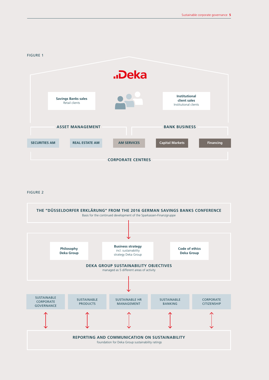#### FIGURE 1



#### FIGURE 2

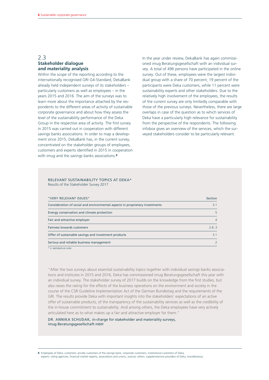# 2.3 **Stakeholder dialogue and materiality analysis**

Within the scope of the reporting according to the internationally recognised GRI G4-Standard, DekaBank already held independent surveys of its stakeholders – particularly customers as well as employees – in the years 2015 and 2016. The aim of the surveys was to learn more about the importance attached by the respondents to the different areas of activity of sustainable corporate governance and about how they assess the level of the sustainability performance of the Deka Group in the respective area of activity. The first survey in 2015 was carried out in cooperation with different savings banks associations. In order to map a development since 2015, DekaBank has, in the current survey, concentrated on the stakeholder groups of employees, customers and experts identified in 2015 in cooperation with imug and the savings banks associations.**<sup>8</sup>**

In the year under review, DekaBank has again commissioned imug Beratungsgesellschaft with an individual survey. A total of 496 persons have participated in the online survey. Out of these, employees were the largest individual group with a share of 70 percent; 19 percent of the participants were Deka customers, while 11 percent were sustainability experts and other stakeholders. Due to the relatively high involvement of the employees, the results of the current survey are only limitedly comparable with those of the previous surveys. Nevertheless, there are large overlaps in case of the question as to which services of Deka have a particularly high relevance for sustainability from the perspective of the respondents. The following infobox gives an overview of the services, which the surveyed stakeholders consider to be particularly relevant.

#### RELEVANT SUSTAINABILITY TOPICS AT DEKA\* Results of the Stakeholder Survey 2017

| "VERY RELEVANT ISSUES"                                                       | Section       |
|------------------------------------------------------------------------------|---------------|
| Consideration of social and environmental aspects in proprietary investments | 3.1           |
| Energy conservation and climate protection                                   | 5             |
| Fair and attractive employer                                                 | 4             |
| Fairness towards customers                                                   | 2.8, 3        |
| Offer of sustainable savings and investment products                         | 3.1           |
| Serious and reliable business management                                     | $\mathcal{P}$ |
| * in alphabetical order                                                      |               |

"After the two surveys about essential sustainability topics together with individual savings banks associations and institutes in 2015 and 2016, Deka has commissioned imug Beratungsgesellschaft this year with an individual survey. The stakeholder survey of 2017 builds on the knowledge from the first studies, but also raises the rating for the effects of the business operations on the environment and society in the course of the CSR Guideline Implementation Act of the German Bundestag and the requirements of the GRI. The results provide Deka with important insights into the stakeholders' expectations of an active offer of sustainable products, of the transparency of the sustainability services as well as the credibility of the in-house commitment to sustainability. And among others, the Deka employees have very actively articulated here as to what makes up a fair and attractive employer for them."

DR. ANNIKA SCHUDAK, in-charge for stakeholder and materiality surveys, imug Beratungsgesellschaft mbH

**8** Employees of Deka; customers: private customers of the savings bank, corporate customers, institutional customers of Deka; experts: rating agencies, financial market experts, associations and unions, science; others: suppliers/service providers of Deka, miscellaneous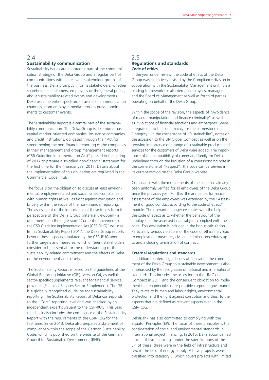# 2.4 **Sustainability communication**

Sustainability issues are an integral part of the communication strategy of the Deka Group and a regular part of communications with all relevant stakeholder groups of the business. Deka promptly informs stakeholders, whether shareholders, customers, employees or the general public, about sustainability-related events and developments. Deka uses the entire spectrum of available communication channels, from employee media through press appointments to customer events.

The Sustainability Report is a central part of the sustainability communication. The Deka Group is, like numerous capital market-oriented companies, insurance companies and credit institutions, obligated through the "Act for strengthening the non-financial reporting of the companies in their management and group management reports (CSR Guideline Implementation Act)" passed in the spring of 2017 to prepare a so-called non-financial statement for the first time for the financial year 2017. Details about the implementation of this obligation are regulated in the Commercial Code (HGB).

The focus is on the obligation to discuss at least environmental, employee-related and social issues, compliance with human rights as well as fight against corruption and bribery within the scope of the non-financial reporting. The assessment of the importance of these topics from the perspective of the Deka Group (internal viewpoint) is documented in the digression "Content requirements of the CSR Guideline Implementation Act (CSR-RUG)" (SEE P. 8). In this Sustainability Report 2017, the Deka Group reports beyond these aspects stipulated by the CSR-RUG about further targets and measures, which different stakeholders consider to be essential for the understanding of the sustainability-related commitment and the effects of Deka on the environment and society.

The Sustainability Report is based on the guidelines of the Global Reporting Initiative (GRI), Version G4, as well the sector-specific supplements relevant for financial service providers (Financial Services Sector Supplement). The GRI is a globally recognised guideline for sustainability reporting. The Sustainability Report of Deka corresponds to the "Core" reporting level and was checked by an independent expert pursuant to the CSR-RUG. This year, the check also includes the compliance of the Sustainability Report with the requirements of the CSR-RUG for the first time. Since 2013, Deka also prepares a statement of compliance within the scope of the German Sustainability Code, which is published on the website of the German Council for Sustainable Development (RNE).

# 2.5 **Regulations and standards Code of ethics**

In the year under review, the code of ethics of the Deka Group was extensively revised by the Compliance division in cooperation with the Sustainability Management unit. It is a binding framework for all internal employees, managers and the Board of Management as well as for third parties operating on behalf of the Deka Group.

Within the scope of the revision, the aspects of "Avoidance of market manipulation and finance criminality" as well as "Violations of financial sanctions and embargoes" were integrated into the code mainly for the cornerstone of "Integrity". In the cornerstone of "Sustainability", notes on the accession to the UN Global Compact as well as on the growing importance of a range of sustainable products and services for the customers of Deka were added. The importance of the compatibility of career and family for Deka is underlined through the inclusion of a corresponding note in the cornerstone of "Respect". The code can be viewed in its current version on the Deka Group website.

Compliance with the requirements of the code has already been uniformly verified for all employees of the Deka Group since the previous year. For this, the annual performance assessment of the employees was extended by the "Assessment of good conduct according to the code of ethics" module. The relevant manager evaluates with the help of the code of ethics as to whether the behaviour of the employee in the assessed financial year complied with the code. This evaluation is included in the bonus calculation. Particularly serious violations of the code of ethics may lead to employment measures, civil and criminal procedures up to and including termination of contract.

#### **External regulations and standards**

In addition to internal guidelines of behaviour, the commitment of the Deka Group to sustainable development is also emphasised by the recognition of national and international standards. This includes the accession to the UN Global Compact in 2011 and the consequent obligation to implement the ten principles of responsible corporate governance. They relate to human and labour rights, environmental protection and the fight against corruption and thus, to the aspects that are defined as relevant aspects even in the CSR-RUG.

DekaBank has also committed to complying with the Equator Principles (EP). The focus of these principles is the consideration of social and environmental standards in international project financing. In 2016, Deka accompanied a total of five financings under the specifications of the EP; of these, three were in the field of infrastructure and two in the field of energy supply. All five projects were classified into category B, which covers projects with limited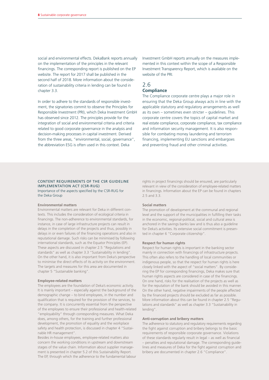social and environmental effects. DekaBank reports annually on the implementation of the principles in the relevant financings. The corresponding report is published on the EP website. The report for 2017 shall be published in the second half of 2018. More information about the consideration of sustainability criteria in lending can be found in chapter 3.3.

In order to adhere to the standards of responsible investment, the signatories commit to observe the Principles for Responsible Investment (PRI), which Deka Investment GmbH has observed since 2012. The principles provide for the integration of social and environmental criteria and criteria related to good corporate governance in the analysis and decision-making processes in capital investment. Derived from the three areas, "environmental, social, governance", the abbreviation ESG is often used in this context. Deka

Investment GmbH reports annually on the measures implemented in this context within the scope of a Responsible Investment Transparency Report, which is available on the website of the PRI.

# 2.6 **Compliance**

The Compliance corporate centre plays a major role in ensuring that the Deka Group always acts in line with the applicable statutory and regulatory arrangements as well as its own – sometimes even stricter – guidelines. This corporate centre covers the topics of capital market and real estate compliance, corporate compliance, tax compliance and information security management. It is also responsible for combating money laundering and terrorism financing, implementing EU sanctions and embargoes and preventing fraud and other criminal activities.

#### CONTENT REQUIREMENTS OF THE CSR GUIDELINE IMPLEMENTATION ACT (CSR-RUG) Importance of the aspects specified by the CSR-RUG for the Deka Group

#### **Environmental matters**

Environmental matters are relevant for Deka in different contexts. This includes the consideration of ecological criteria in financings. The non-adherence to environmental standards, for instance, in case of large infrastructure projects can result in delays in the completion of the projects and thus, possibly in delays in or even failures of the financing operations and also in reputational damage. Such risks can be minimised by following international standards, such as the Equator Principles (EP). These aspects are discussed in chapter 2.5 "Regulations and standards" as well as chapter 3.3 "Sustainability in lending". On the other hand, it is also important from Deka's perspective to minimise the direct effects of its activity on the environment. The targets and measures for this area are documented in chapter 5 "Sustainable banking".

#### **Employee-related matters**

The employees are the foundation of Deka's economic activity. It is mainly important – especially against the background of the demographic change – to bind employees, in the number and qualification that is required for the provision of the services, to the company. It is concurrently essential from the perspective of the employees to ensure their professional and health-related "employability" through corresponding measures. What Deka does, among others, for the training and further professional development, the promotion of equality and the workplace safety and health protection, is discussed in chapter 4 "Sustainable HR management".

Besides in-house employees, employee-related matters also concern the working conditions in upstream and downstream stages of the value chain. Information about supplier management is presented in chapter 5.2 of this Sustainability Report. The EP, through which the adherence to the fundamental labour rights in project financings should be ensured, are particularly relevant in view of the consideration of employee-related matters in financings. Information about the EP can be found in chapters 2.5 and 3.3.

#### **Social matters**

The promotion of development at the communal and regional level and the support of the municipalities in fulfilling their tasks in the economic, regional-political, social and cultural area is anchored in the savings banks law and is thus also a guideline for Deka's activities. Its extensive social commitment is presented in chapter 6 "Corporate citizenship".

#### **Respect for human rights**

Respect for human rights is important in the banking sector mainly in connection with financings of infrastructure projects. This often also refers to the handling of local communities or indigenous people, so that the respect for human rights is here closely linked with the aspect of "social matters". By considering the EP for corresponding financings, Deka makes sure that human rights aspects are considered in case of the financings. On one hand, risks for the realisation of the projects as well as for the reputation of the bank should be avoided in this manner. On the other hand, negative impairments of the people affected by the financed projects should be excluded as far as possible. More information about this can be found in chapter 2.5 "Regulations and standards" as well as chapter 3.3 "Sustainability in lending".

#### **Anti-corruption and bribery matters**

The adherence to statutory and regulatory requirements regarding the fight against corruption and bribery belongs to the basic requirements of responsible corporate governance. Violations of these standards regularly result in legal – as well as financial – penalties and reputational damage. The corresponding guidelines and measures of Deka for the fight against corruption and bribery are documented in chapter 2.6 "Compliance".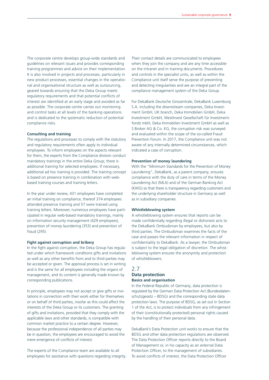The corporate centre develops group-wide standards and guidelines on relevant issues and provides corresponding training programmes and advice on their implementation. It is also involved in projects and processes, particularly in new product processes, essential changes in the operational and organisational structure as well as outsourcing, geared towards ensuring that the Deka Group meets regulatory requirements and that potential conflicts of interest are identified at an early stage and avoided as far as possible. The corporate centre carries out monitoring and control tasks at all levels of the banking operations and is dedicated to the systematic reduction of potential compliance risks.

#### **Consulting and training**

The regulations and processes to comply with the statutory and regulatory requirements often apply to individual employees. To inform employees on the aspects relevant for them, the experts from the Compliance division conduct mandatory trainings in the entire Deka Group; there is additional training for selected employees. If necessary, additional ad hoc training is provided. The training concept is based on presence training in combination with webbased training courses and training letters.

In the year under review, 431 employees have completed an initial training on compliance, thereof 374 employees attended presence training and 57 were trained using training letters. Moreover, numerous employees have participated in regular web-based mandatory trainings, mainly on information security management (429 employees), prevention of money laundering (353) and prevention of fraud (295).

#### **Fight against corruption and bribery**

In the fight against corruption, the Deka Group has regulated under which framework conditions gifts and invitations as well as any other benefits from and to third parties may be accepted or given. The approval process is set in writing and is the same for all employees including the organs of management, and its content is generally made known by corresponding publications.

In principle, employees may not accept or give gifts or invitations in connection with their work either for themselves or on behalf of third parties, insofar as this could affect the interests of the Deka Group or its customers. The granting of gifts and invitations, provided that they comply with the applicable laws and other standards, is compatible with common market practice to a certain degree. However, because the professional independence of all parties may be in question, the employees are encouraged to avoid the mere emergence of conflicts of interest.

The experts of the Compliance team are available to all employees for assistance with questions regarding integrity.

Their contact details are communicated to employees when they join the company and are any time accessible on the intranet and in training documents. Procedures and controls in the specialist units, as well as within the Compliance unit itself serve the purpose of preventing and detecting irregularities and are an integral part of the compliance management system of the Deka Group.

For DekaBank Deutsche Girozentrale, DekaBank Luxemburg S.A. including the downstream companies, Deka Investment GmbH, UK branch, Deka Immobilien GmbH, Deka Investment GmbH, WestInvest Gesellschaft für Investmentfonds mbH, Deka Immobilien Investment GmbH as well as S Broker AG & Co. KG, the corruption risk was surveyed and evaluated within the scope of the so-called Fraud Prevention Forum. In 2017, the Compliance unit was not aware of any internally determined circumstances, which indicated a case of corruption.

#### **Prevention of money laundering**

With the "Minimum Standards for the Prevention of Money Laundering", DekaBank, as a parent company, ensures compliance with the duty of care in terms of the Money Laundering Act (MLA) and of the German Banking Act (KWG) so that there is transparency regarding customers and the underlying shareholder structure in Germany as well as in subsidiary companies.

#### **Whistleblowing system**

A whistleblowing system ensures that reports can be made confidentially regarding illegal or dishonest acts to the DekaBank Ombudsman by employees, but also by third parties. The Ombudsman examines the facts of the case and passes the relevant information in respect of confidentiality to DekaBank. As a lawyer, the Ombudsman is subject to the legal obligation of discretion. The whistleblowing system ensures the anonymity and protection of whistleblowers.

# 2.7

#### **Data protection Basics and organisation**

In the Federal Republic of Germany, data protection is regulated by the German Data Protection Act (Bundesdatenschutzgesetz – BDSG) and the corresponding state data protection laws. The purpose of BDSG, as set out in Section 1 of the Act, is to protect individuals from any infringement of their (constitutionally protected) personal rights caused by the handling of their personal data.

DekaBank's Data Protection unit works to ensure that the BDSG and other data protection regulations are observed. The Data Protection Officer reports directly to the Board of Management or, in his capacity as an external Data Protection Officer, to the management of subsidiaries. To avoid conflicts of interest, the Data Protection Officer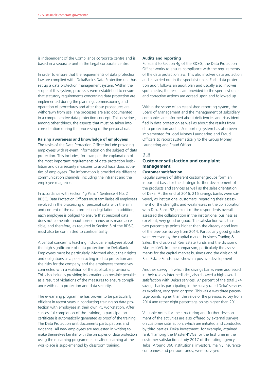is independent of the Compliance corporate centre and is based in a separate unit in the Legal corporate centre.

In order to ensure that the requirements of data protection law are complied with, DekaBank's Data Protection unit has set up a data protection management system. Within the scope of this system, processes were established to ensure that statutory requirements concerning data protection are implemented during the planning, commissioning and operation of procedures and after those procedures are withdrawn from use. The processes are also documented in a comprehensive data protection concept. This describes, among other things, the aspects that must be taken into consideration during the processing of the personal data.

#### **Raising awareness and knowledge of employees**

The tasks of the Data Protection Officer include providing employees with relevant information on the subject of data protection. This includes, for example, the explanation of the most important requirements of data protection legislation and data security measures to avoid hazardous activities of employees. The information is provided via different communication channels, including the intranet and the employee magazine.

In accordance with Section 4g Para. 1 Sentence 4 No. 2 BDSG, Data Protection Officers must familiarise all employees involved in the processing of personal data with the aim and content of the data protection legislation. In addition, each employee is obliged to ensure that personal data does not come into unauthorised hands or is made accessible, and therefore, as required in Section 5 of the BDSG, must also be committed to confidentiality.

A central concern is teaching individual employees about the high significance of data protection for DekaBank. Employees must be particularly informed about their rights and obligations as a person acting in data protection and the risks for the company and the employees themselves connected with a violation of the applicable provisions. This also includes providing information on possible penalties as a result of violations of the measures to ensure compliance with data protection and data security.

The e-learning programme has proven to be particularly efficient in recent years in conducting training on data protection with employees at their own PC workstation. After successful completion of the training, a participation certificate is automatically generated as proof of the training. The Data Protection unit documents participations and evidence. All new employees are requested in writing to make themselves familiar with the principles of data protection using the e-learning programme. Localised learning at the workplace is supplemented by classroom training.

#### **Audits and reporting**

Pursuant to Section 4g of the BDSG, the Data Protection Officer works to ensure compliance with the requirements of the data protection law. This also involves data protection audits carried out in the specialist units. Each data protection audit follows an audit plan and usually also involves spot checks; the results are provided to the specialist units and corrective actions are agreed upon and followed up.

Within the scope of an established reporting system, the Board of Management and the management of subsidiary companies are informed about deficiencies and risks identified in data protection as well as about the results from data protection audits. A reporting system has also been implemented for local Money Laundering and Fraud Officers to report systematically to the Group Money Laundering and Fraud Officer.

# 2.8

# **Customer satisfaction and complaint management**

### **Customer satisfaction**

Regular surveys of different customer groups form an important basis for the strategic further development of the products and services as well as the sales orientation of Deka. At the end of 2016, 216 savings banks were surveyed, as institutional customers, regarding their assessment of the strengths and weaknesses in the collaboration with DekaBank. 92 percent of the respondents overall assessed the collaboration in the institutional business as excellent, very good or good. The satisfaction was thus two percentage points higher than the already good level of the previous survey from 2014. Particularly good grades were received by the capital market business Trading & Sales, the division of Real Estate Funds and the division of Master-KVG. In time comparison, particularly the assessments for the capital market business and the division of Real Estate Funds have shown a positive development.

Another survey, in which the savings banks were addressed in their role as intermediaries, also showed a high overall satisfaction with Deka's services. 97 percent of the total 374 savings banks participating in the survey rated Deka' services as excellent, very good or good. This value was three percentage points higher than the value of the previous survey from 2014 and rather eight percentage points higher than 2011.

Valuable notes for the structuring and further development of the activities are also offered by external surveys on customer satisfaction, which are initiated and conducted by third parties. Deka Investment, for example, attained rank 1 among the Master-KVGs for the first time in the customer satisfaction study 2017 of the rating agency Telos. Around 360 institutional investors, mainly insurance companies and pension funds, were surveyed.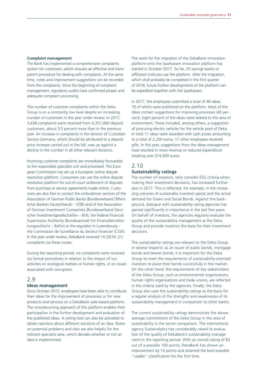#### **Complaint management**

The Bank has implemented a comprehensive complaints system for customers, which ensures an effective and transparent procedure for dealing with complaints. At the same time, notes and improvement suggestions can be recorded from the complaints. Since the beginning of complaint management, regulatory audits have confirmed proper and adequate complaint processing.

The number of customer complaints within the Deka Group is on a constantly low level despite an increasing number of customers in the year under review. In 2017, 3,638 complaints were received from 4,357,060 deposit customers, about 3.5 percent more than in the previous year. An increase in complaints in the division of Custodian Service Germany, which should be attributed to a deposit price increase carried out in the fall, was up against a decline in the number in all other relevant divisions.

Incoming customer complaints are immediately forwarded to the responsible specialist unit and processed. The European Commission has set up a European online dispute resolution platform. Consumers can use the online dispute resolution platform for out-of-court settlement of disputes from purchase or service agreements made online. Customers are also free to contact the ombudsman services of the Association of German Public Banks (Bundesverband Öffentlicher Banken Deutschlands – VÖB) and of the Association of German Investment Companies (Bundesverband Deutscher Investmentgesellschaften – BVI), the Federal Financial Supervisory Authority (Bundesanstalt für Finanzdienstleistungsaufsicht – BaFin) or the regulator in Luxembourg – the Commission de Surveillance du Secteur Financier (CSSF). In the year under review, DekaBank received 14 (2016: 21) complaints via these routes.

During the reporting period, no complaints were received via formal procedures in relation to the impact of our activities on ecological matters or human rights, or on issues associated with corruption.

# 2.9

### **Ideas management**

Since October 2015, employees have been able to contribute their ideas for the improvement of processes or for new products and services on a DekaBank web-based platform. The crowdsourcing approach of this platform enables their participation in the further development and evaluation of the published ideas. A voting tool can also be activated to obtain opinions about different solutions of an idea. Notes on potential problems and risks are also helpful for the relevant specialist area, which decides whether or not an idea is implemented.

The work for the migration of the DekaBank innovation platform onto the Sparkassen innovation platform has started in October 2017. So far, 25 savings banks or affiliated institutes use the platform. After the migration, which shall probably be completed in the first quarter of 2018, future further developments of the platform can be expedited together with the Sparkassen.

In 2017, the employees submitted a total of 96 ideas, 70 of which were published on the platform. Most of the ideas contain suggestions for improving processes (40 percent). Eight percent of the ideas were related to the area of environment. These included, among others, a suggestion of procuring electric vehicles for the vehicle pool of Deka. In total 11 ideas were awarded with cash prizes amounting to a total of 2,200 euros; 17 other employees received gifts. In this year, suggestions from the ideas management have resulted in more revenue or reduced expenditure totalling over 274,000 euros.

# 2.10 **Sustainability ratings**

The number of investors, who consider ESG criteria when making their investment decisions, has increased further also in 2017. This is reflected, for example, in the increasing volumes of sustainably invested capital and the active demand for Green and Social Bonds. Against this background, dialogue with sustainability rating agencies has gained significantly in importance in the last few years. On behalf of investors, the agencies regularly evaluate the quality of the sustainability management at the Deka Group and provide investors the basis for their investment decisions.

The sustainability ratings are relevant to the Deka Group in several respects: as an issuer of public bonds, mortgage bonds and bearer bonds, it is important for the Deka Group to meet the requirements of sustainability-oriented investors to place their bonds successfully in the market. On the other hand, the requirements of key stakeholders of the Deka Group, such as environmental organisations, human rights organisations and trade unions, are reflected in the criteria used by the agencies. Finally, the Deka Group also uses the sustainability ratings as the basis for a regular analysis of the strengths and weaknesses of its sustainability management in comparison to other banks.

The current sustainability ratings demonstrate the aboveaverage commitment of the Deka Group in the area of sustainability in the sector comparison. The international agency Sustainalytics has considerably raised its evaluation of the quality of DekaBank's sustainability management in the reporting period. With an overall rating of 83 out of a possible 100 points, DekaBank has shown an improvement by 10 points and attained the best-possible "Leader" classification for the first time.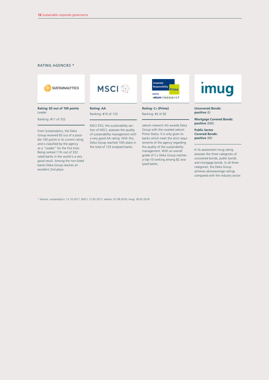#### RATING AGENCIES \*





**Rating: 83 out of 100 points** Leader

Ranking: #11 of 332

From Sustainalytics, the Deka Group received 83 out of a possible 100 points in its current rating and is classified by the agency as a "Leader" for the first time. Being ranked 11th out of 332 rated banks in the world is a very good result. Among the non-listed banks Deka-Group reaches an excellent 2nd place.

Ranking: #10 of 133

**Rating: AA**

MSCI ESG, the sustainability section of MSCI, assesses the quality of sustainability management with a very good AA rating. With this, Deka Group reached 10th place in the total of 133 analysed banks.



**Rating: C+ (Prime)** Ranking: #2 of 82

oekom research AG awards Deka Group with the coveted oekom Prime Status. It is only given to banks which meet the strict requirements of the agency regarding the quality of the sustainability management. With an overall grade of C+ Deka Group reaches a top-10 ranking among 82 analysed banks.

# imug

**Uncovered Bonds: positive** (B)

**Mortgage Covered Bonds: positive** (BBB)

**Public Sector Covered Bonds: positive** (BB)

In its assessment imug rating assesses the three categories of uncovered bonds, public bonds and mortgage bonds. In all three categories, the Deka Group achieves aboveaverage ratings compared with the industry sector.

\* Version: sustainalytics: 12.10.2017, MSCI: 12.05.2017; oekom: 07.09.2016; imug: 28.02.2018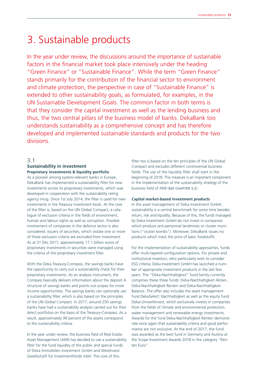# 3. Sustainable products

In the year under review, the discussions around the importance of sustainable factors in the financial market took place intensively under the heading "Green Finance" or "Sustainable Finance". While the term "Green Finance" stands primarily for the contribution of the financial sector to environment and climate protection, the perspective in case of "Sustainable Finance" is extended to other sustainability goals, as formulated, for examples, in the UN Sustainable Development Goals. The common factor in both terms is that they consider the capital investment as well as the lending business and thus, the two central pillars of the business model of banks. DekaBank too understands sustainability as a comprehensive concept and has therefore developed and implemented sustainable standards and products for the two divisions.

# 3.1

#### **Sustainability in investment Proprietary investments & liquidity portfolio**

As a pioneer among system-relevant banks in Europe, DekaBank has implemented a sustainability filter for new investments across its proprietary investments, which was developed in cooperation with the sustainability rating agency imug. Since 1st July 2014, the filter is used for new investments in the Treasury investment book. At the core of the filter is, based on the UN Global Compact, a catalogue of exclusion criteria in the fields of environment, human and labour rights as well as corruption. Possible involvement of companies in the defence sector is also considered. Issuers of securities, which violate one or more of these exclusion criteria are excluded from investment. As at 31 Dec 2017, approximately 17.1 billion euros of proprietary investments in securities were managed using the criteria of the proprietary investment filter.

With the Deka Treasury-Compass, the savings banks have the opportunity to carry out a sustainability check for their proprietary investments. As an analysis instrument, the Compass basically delivers information about the deposit A structure of savings banks and points out scopes for more income opportunities. The savings banks can optionally use a sustainability filter, which is also based on the principles of the UN Global Compact. In 2017, around 250 savings banks have had a sustainability analysis carried out for their direct portfolios on the basis of the Treasury-Compass. As a result, approximately 99 percent of the assets correspond to the sustainability criteria.

In the year under review, the business field of Real Estate Asset Management (AMI) has decided to use a sustainability filter for the fund liquidity of the public and special funds of Deka Immobilien Investment GmbH and WestInvest Gesellschaft für Investmentfonds mbH. The core of this

filter too is based on the ten principles of the UN Global Compact and excludes different controversial business fields. The use of the liquidity filter shall start in the beginning of 2018. This measure is an important component in the implementation of the sustainability strategy of the business field of AMI (SEE CHAPTER 3.2).

#### **Capital market-based investment products**

In the asset management of Deka Investment GmbH, sustainability is a central benchmark for some time besides return, risk and liquidity. Because of this, the funds managed by Deka Investment GmbH do not invest in companies which produce anti-personnel landmines or cluster munitions ("cluster bombs"). Moreover, DekaBank issues no products which track the price of basic foodstuffs.

For the implementation of sustainability approaches, funds offer multi-layered configuration options. For private and institutional investors, who particularly wish to consider ESG criteria, Deka Investment GmbH has launched a number of appropriate investment products in the last few years. The "Deka-Nachhaltigkeit" fund family currently comprises these three funds: Deka-Nachhaltigkeit Aktien, Deka-Nachhaltigkeit Renten and Deka-Nachhaltigkeit Balance. The offer also includes the asset management fund DekaSelect: Nachhaltigkeit as well as the equity fund Deka-UmweltInvest, which exclusively invests in companies from the fields of climate and environmental protection, water management and renewable energy investments. Awards for the fund Deka-Nachhaltigkeit Renten demonstrate once again that sustainability criteria and good performance are not exclusive. At the end of 2017, the fund was awarded as the best fund in Germany and Austria at the Scope Investment Awards 2018 in the category "Renten Euro".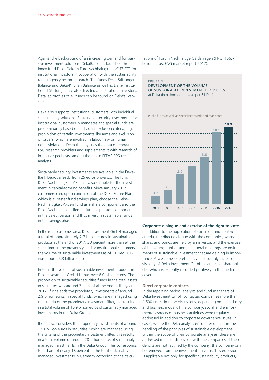Against the background of an increasing demand for passive investment solutions, DekaBank has launched the index fund Deka Oekom Euro Nachhaltigkeit UCITS ETF for institutional investors in cooperation with the sustainability rating agency oekom research. The funds Deka-Stiftungen Balance and Deka-Kirchen Balance as well as Deka-Institutionell Stiftungen are also directed at institutional investors. Detailed profiles of all funds can be found on Deka's website.

Deka also supports institutional customers with individual sustainability solutions. Sustainable security investments for institutional customers in mandates and special funds are predominantly based on individual exclusion criteria, e.g. prohibition of certain investments like arms and exclusion of issuers, which are involved in labour law or human rights violations. Deka thereby uses the data of renowned ESG research providers and supplements it with research of in-house specialists, among them also EFFAS ESG certified analysts.

Sustainable security investments are available in the Deka-Bank Depot already from 25 euros onwards. The fund Deka-Nachhaltigkeit Aktien is also suitable for the investment in capital-forming benefits. Since January 2017, customers can, upon conclusion of the Deka Future Plan, which is a Riester fund savings plan, choose the Deka-Nachhaltigkeit Aktien fund as a share component and the Deka-Nachhaltigkeit Renten fund as pension component in the Select version and thus invest in sustainable funds in the savings phase.

In the retail customer area, Deka Investment GmbH managed a total of approximately 2.7 billion euros in sustainable products at the end of 2017, 30 percent more than at the same time in the previous year. For institutional customers, the volume of sustainable investments as of 31 Dec 2017 was around 5.3 billion euros.

In total, the volume of sustainable investment products in Deka Investment GmbH is thus over 8.0 billion euros. The proportion of sustainable securities funds in the total assets in securities was around 3 percent at the end of the year 2017. If one adds the proprietary investments of around 2.9 billion euros in special funds, which are managed using the criteria of the proprietary investment filter, this results in a total volume of 10.9 billion euros of sustainably managed investments in the Deka Group.

If one also considers the proprietary investments of around 17.1 billion euros in securities, which are managed using the criteria of the proprietary investment filter, this results in a total volume of around 28 billion euros of sustainably managed investments in the Deka Group. This corresponds to a share of nearly 18 percent in the total sustainably managed investments in Germany according to the calcu-

lations of Forum Nachhaltige Geldanlagen (FNG; 156.7 billion euros, FNG market report 2017).

#### FIGURE 3 DEVELOPMENT OF THE VOLUME OF SUSTAINABLE INVESTMENT PRODUCTS at Deka (in billions of euros as per 31 Dec)

Public funds as well as specialized funds and mandates



#### **Corporate dialogue and exercise of the right to vote**

In addition to the application of exclusion and positive criteria, the direct dialogue with the companies, whose shares and bonds are held by an investor, and the exercise of the voting right at annual general meetings are instruments of sustainable investment that are gaining in importance. A welcome side-effect is a measurably increased visibility of Deka Investment GmbH as an active shareholder, which is explicitly recorded positively in the media coverage.

#### **Direct corporate contacts**

In the reporting period, analysts and fund managers of Deka Investment GmbH contacted companies more than 1,500 times. In these discussions, depending on the industry and business model of the company, social and environmental aspects of business activities were regularly addressed in addition to corporate governance issues. In cases, where the Deka analysts encounter deficits in the handling of the principles of sustainable development within the scope of their corporate analyses, these are addressed in direct discussion with the companies. If these deficits are not rectified by the company, the company can be removed from the investment universe. This exclusion is applicable not only for specific sustainability products,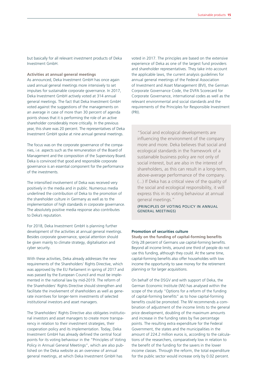**Activities at annual general meetings**

As announced, Deka Investment GmbH has once again used annual general meetings more intensively to set impulses for sustainable corporate governance. In 2017, Deka Investment GmbH actively voted at 314 annual general meetings. The fact that Deka Investment GmbH voted against the suggestions of the managements on an average in case of more than 30 percent of agenda points shows that it is performing the role of an active shareholder considerably more critically. In the previous year, this share was 20 percent. The representatives of Deka Investment GmbH spoke at nine annual general meetings.

The focus was on the corporate governance of the companies, i.e. aspects such as the remuneration of the Board of Management and the composition of the Supervisory Board. Deka is convinced that good and responsible corporate governance is an essential component for the performance of the investments.

The intensified involvement of Deka was received very positively in the media and in public. Numerous media underlined the contribution of Deka to the promotion of the shareholder culture in Germany as well as to the implementation of high standards in corporate governance. The absolutely positive media response also contributes to Deka's reputation.

For 2018, Deka Investment GmbH is planning further development of the activities at annual general meetings. Besides corporate governance, special attention should be given mainly to climate strategy, digitalisation and cyber security.

With these activities, Deka already addresses the new requirements of the Shareholders' Rights Directive, which was approved by the EU Parliament in spring of 2017 and was passed by the European Council and must be implemented in the national law by mid-2019. The reform of the Shareholders' Rights Directive should strengthen and facilitate the involvement of shareholders as well as generate incentives for longer-term investments of selected institutional investors and asset managers.

The Shareholders' Rights Directive also obligates institutional investors and asset managers to create more transparency in relation to their investment strategies, their cooperation policy and its implementation. Today, Deka Investment GmbH has already defined the central focal points for its voting behaviour in the "Principles of Voting Policy in Annual General Meetings", which are also published on the Deka website as an overview of annual general meetings, at which Deka Investment GmbH has

Sustainable products **15**

voted in 2017. The principles are based on the extensive experience of Deka as one of the largest fund providers and shareholder representatives. They take into account the applicable laws, the current analysis guidelines for annual general meetings of the Federal Association of Investment and Asset Management (BVI), the German Corporate Governance Code, the DVFA Scorecard for Corporate Governance, international codes as well as the relevant environmental and social standards and the requirements of the Principles for Responsible Investment (PRI).

"Social and ecological developments are influencing the environment of the company more and more. Deka believes that social and ecological standards in the framework of a sustainable business policy are not only of social interest, but are also in the interest of shareholders, as this can result in a long-term, above-average performance of the company. (...) If Deka has a critical view of the quality of the social and ecological responsibility, it will express this in its voting behaviour at annual general meetings."

(PRINCIPLES OF VOTING POLICY IN ANNUAL GENERAL MEETINGS)

#### **Promotion of securities culture**

**Study on the funding of capital-forming benefits** Only 28 percent of Germans use capital-forming benefits. Beyond all income limits, around one third of people do not use this funding, although they could. At the same time, capital-forming benefits also offer householdes with low income the opportunity to save money for the retirement planning or for larger acquisitions.

On behalf of the DSGV and with support of Deka, the German Economic Institute (IW) has analysed within the scope of the study "Options for a reform of the funding of capital-forming benefits" as to how capital-forming benefits could be promoted. The IW recommends a combination of adjustment of the income limits to the general price development, doubling of the maximum amounts and increase in the funding rates by five percentage points. The resulting extra expenditure for the Federal Government, the states and the municipalities in the amount of 224.2 million euros is, according to the calculations of the researchers, comparatively low in relation to the benefit of the funding for the savers in the lower income classes. Through the reform, the total expenditure for the public sector would increase only by 0.02 percent.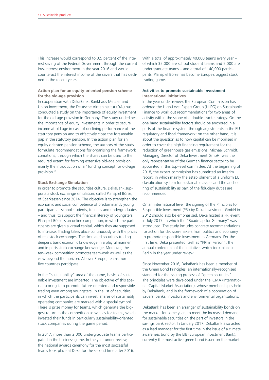This increase would correspond to 0.5 percent of the interest saving of the Federal Government through the current low-interest environment in the year 2016 and would counteract the interest income of the savers that has declined in the recent years.

#### **Action plan for an equity-oriented pension scheme for the old-age provision**

In cooperation with DekaBank, Bankhaus Metzler and Union Investment, the Deutsche Aktieninstitut (DAI) has conducted a study on the importance of equity investment for the old-age provision in Germany. The study underlines the importance of equity investments in order to secure income at old age in case of declining performance of the statutory pension and to effectively close the foreseeable gap in the statutory pension. In the action plan for an equity oriented pension scheme, the authors of the study formulate recommendations for organising the framework conditions, through which the shares can be used to the required extent for forming extensive old-age provision, mainly the introduction of a "funding concept for old-age provision."

#### **Stock Exchange Simulation**

In order to promote the securities culture, DekaBank supports a stock exchange simulation, called Planspiel Börse, of Sparkassen since 2014. The objective is to strengthen the economic and social competence of predominantly young participants – school students, trainees and undergraduates – and thus, to support the financial literacy of youngsters. Planspiel Börse is an online competition, in which the participants are given a virtual capital, which they are supposed to increase. Trading takes place continuously with the prices of real stock exchanges. The simulated securities trading deepens basic economic knowledge in a playful manner and imparts stock exchange knowledge. Moreover, the ten-week competition promotes teamwork as well as the view beyond the horizon. All over Europe, teams from five countries participate.

In the "sustainability" area of the game, basics of sustainable investment are imparted. The objective of this special scoring is to promote future-oriented and responsible trading even among youngsters. In the list of securities, in which the participants can invest, shares of sustainably operating companies are marked with a special symbol. There is prize money for teams, which generate the biggest return in the competition as well as for teams, which invested their funds in particularly sustainability-oriented stock companies during the game period.

In 2017, more than 2,000 undergraduate teams participated in the business game. In the year under review, the national awards ceremony for the most successful teams took place at Deka for the second time after 2016. With a total of approximately 40,000 teams every year – of which 35,000 are school student teams and 5,000 are undergraduate teams – and a total of 140,000 participants, Planspiel Börse has become Europe's biggest stock trading game.

#### **Activities to promote sustainable investment International initiatives**

In the year under review, the European Commission has ordered the High-Level Expert Group (HLEG) on Sustainable Finance to work out recommendations for two areas of activity within the scope of a double-track strategy. On the one hand sustainability factors should be anchored in all parts of the finance system through adjustments in the EU regulatory and fiscal framework; on the other hand, it is about the question as to how capital can be mobilised in order to cover the high financing requirement for the reduction of greenhouse gas emissions. Michael Schmidt, Managing Director of Deka Investment GmbH, was the only representative of the German finance sector to be appointed in this top-level committee. At the beginning of 2018, the expert commission has submitted an interim report, in which mainly the establishment of a uniform EU classification system for sustainable assets and the anchoring of sustainability as part of the fiduciary duties are recommended.

On an international level, the signing of the Principles for Responsible Investment (PRI) by Deka Investment GmbH in 2012 should also be emphasised. Deka hosted a PRI event in July 2017, in which the "Roadmap for Germany" was introduced. The study includes concrete recommendations for action for decision-makers from politics and economy to promote responsible investment in Germany. For the first time, Deka presented itself at "PRI in Person", the annual conference of the initiative, which took place in Berlin in the year under review.

Since November 2016, DekaBank has been a member of the Green Bond Principles, an internationally-recognised standard for the issuing process of "green securities". The principles were developed under the ICMA (International Capital Market Association), whose membership is held by DekaBank, and in the framework of a cooperation of issuers, banks, investors and environmental organisations.

DekaBank has been an arranger of sustainability bonds on the market for some years to meet the increased demand for sustainable securities on the part of investors in the savings bank sector. In January 2017, DekaBank also acted as a lead manager for the first time in the issue of a climate awareness bond by the EIB (European Investment Bank), currently the most active green bond issuer on the market.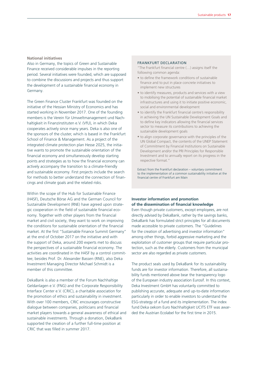#### **National initiatives**

Also in Germany, the topics of Green and Sustainable Finance received considerable impulses in the reporting period. Several initiatives were founded, which are supposed to combine the discussions and projects and thus support the development of a sustainable financial economy in Germany.

The Green Finance Cluster Frankfurt was founded on the initiative of the Hessian Ministry of Economics and has started working in November 2017. One of the founding members is the Verein für Umweltmanagement und Nachhaltigkeit in Finanzinstituten e.V. (VfU), in which Deka cooperates actively since many years. Deka is also one of the sponsors of the cluster, which is based in the Frankfurt School of Finance & Management. As a project of the integrated climate protection plan Hesse 2025, the initiative wants to promote the sustainable orientation of the financial economy and simultaneously develop starting points and strategies as to how the financial economy can actively accompany the transition to a climate-friendly and sustainable economy. First projects include the search for methods to better understand the connection of financings and climate goals and the related risks.

Within the scope of the Hub for Sustainable Finance (H4SF), Deutsche Börse AG and the German Council for Sustainable Development (RNE) have agreed upon strategic cooperation in the field of sustainable financial economy. Together with other players from the financial market and civil society, they want to work on improving the conditions for sustainable orientation of the financial market. At the first "Sustainable Finance Summit Germany" at the end of October 2017 on the initiative and with the support of Deka, around 200 experts met to discuss the perspectives of a sustainable financial economy. The activities are coordinated in the H4SF by a control committee; besides Prof. Dr. Alexander Bassen (RNE), also Deka Investment Managing Director Michael Schmidt is a member of this committee.

DekaBank is also a member of the Forum Nachhaltige Geldanlagen e.V. (FNG) and the Corporate Responsibility Interface Center e.V. (CRIC), a charitable association for the promotion of ethics and sustainability in investment. With over 100 members, CRIC encourages constructive dialogue between companies, politicians and financial market players towards a general awareness of ethical and sustainable investments. Through a donation, DekaBank supported the creation of a further full-time position at CRIC that was filled in summer 2017.

#### FRANKFURT DECLARATION

"The Frankfurt financial centre (…) assigns itself the following common agenda:

- to define the framework conditions of sustainable finance and to put in place concrete initiatives to implement new structures
- to identify measures, products and services with a view to mobilising the potential of sustainable financial market infrastructures and using it to initiate positive economic, social and environmental development
- to identify the Frankfurt financial centre's responsibility in achieving the UN Sustainable Development Goals and to define key indicators allowing the financial services sector to measure its contributions to achieving the sustainable development goals
- to align corporate governance with the principles of the UN Global Compact, the contents of the UNEP Statement of Commitment by Financial Institutions on Sustainable Development and/or the PRI Principles for Responsible Investment and to annually report on its progress in the respective format."

Extract from the Frankfurt declaration – voluntary commitment to the implementation of a common sustainability initiative at the financial centre of Frankfurt am Main

#### **Investor information and promotion of the dissemination of financial knowledge**

Even though private customers, except employees, are not directly advised by DekaBank, rather by the savings banks, DekaBank has formulated strict principles for all documents made accessible to private customers. The "Guidelines for the creation of advertising and investor information" among other things, forbid aggressive marketing and the exploitation of customer groups that require particular protection, such as the elderly. Customers from the municipal sector are also regarded as private customers.

The product seals used by DekaBank for its sustainability funds are for investor information. Therefore, all sustainability funds mentioned above bear the transparency logo of the European industry association Eurosif. In this context, Deka Investment GmbH has voluntarily committed to publishing accurate, adequate and up-to-date information particularly in order to enable investors to understand the ESG-strategy of a fund and its implementation. The index fund Deka oekom Euro Nachhaltigkeit UCITS ETF was awarded the Austrian Ecolabel for the first time in 2015.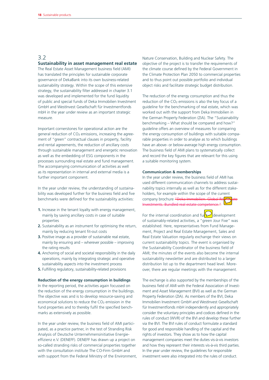# 3.2

# **Sustainability in asset management real estate**

The Real Estate Asset Management business field (AMI) has translated the principles for sustainable corporate governance of DekaBank into its own business-related sustainability strategy. Within the scope of this extensive strategy, the sustainability filter addressed in chapter 3.1 was developed and implemented for the fund liquidity of public and special funds of Deka Immobilien Investment GmbH and WestInvest Gesellschaft für Investmentfonds mbH in the year under review as an important strategic measure.

Important cornerstones for operational action are the general reduction of  $CO<sub>2</sub>$  emissions, increasing the agreement of "green" contractual clauses in property, facility and rental agreements, the reduction of ancillary costs through sustainable management and energetic renovation as well as the embedding of ESG components in the processes surrounding real estate and fund management. The accompanying communication of activities as well as its representation in internal and external media is a further important component.

In the year under review, the understanding of sustainability was developed further for the business field and five benchmarks were defined for the sustainability activities:

- **1.** Increase in the tenant loyalty with energy management, mainly by saving ancillary costs in case of suitable properties
- **2.** Sustainability as an instrument for optimising the return, mainly by reducing tenant fit-out costs
- **3.** Positive image as a provider of sustainable real estate, mainly by ensuring and – wherever possible – improving the rating results
- **4.** Anchoring of social and societal responsibility in the daily operations, mainly by integrating strategic and operative sustainability aspects into the investment process
- **5.** Fulfilling regulatory, sustainability-related provisions

#### **Reduction of the energy consumption in buildings**

In the reporting period, the activities again focussed on the reduction of the energy consumption in the buildings. The objective was and is to develop resource-saving and economical solutions to reduce the  $CO<sub>2</sub>$  emission in the fund properties and to thereby fulfil the specified benchmarks as extensively as possible.

In the year under review, the business field of AMI participated, as a practice partner, in the test of Stranding Risk Analysis of Deutsche Unternehmensinitiative Energieeffizienz e.V. (DENEFF). DENEFF has drawn up a project on so-called stranding risks of commercial properties together with the consultation institute The CO-Firm GmbH and with support from the Federal Ministry of the Environment,

Nature Conservation, Building and Nuclear Safety. The objective of the project is to transfer the requirements of the climate course defined by the Federal Government in the Climate Protection Plan 2050 to commercial properties and to thus point out possible portfolio and individual object risks and facilitate strategic budget distribution.

The reduction of the energy consumption and thus the reduction of the  $CO<sub>2</sub>$  emissions is also the key focus of a guideline for the benchmarking of real estate, which was worked out with the support from Deka Immobilien in the German Property Federation (ZIA). The "Sustainability benchmarking – What should be compared and how?" guideline offers an overview of measures for comparing the energy consumption of buildings with suitable comparable properties in order to analyse as to which buildings have an above- or below-average high energy consumption. The business field of AMI plans to systematically collect and record the key figures that are relevant for this using a suitable monitoring system.

#### **Communication & memberships**

In the year under review, the business field of AMI has used different communication channels to address sustainability topics internally as well as for the different stakeholders, for example within the scope of the current company brochure "Deka Immobilien Investments. Bundled real estate competence."

For the internal coordination and  $\text{full}$  development of sustainably-related activities, a "green Jour Fixe" was established. Here, representatives from Fund Management, Project and Real Estate Management, Sales and Real Estate Valuation regularly exchange their views on current sustainability topics. The event is organised by the Sustainability Coordinator of the business field of AMI; the minutes of the events also become the internal sustainability newsletter and are distributed to a larger distribution list up to the department head level. Moreover, there are regular meetings with the management.

The exchange is also supported by the memberships of the business field of AMI with the Federal Association of Investment and Asset Management (BVI) as well as the German Property Federation (ZIA). As members of the BVI, Deka Immobilien Investment GmbH and WestInvest Gesellschaft für Investmentfonds mbH independently and appropriately consider the voluntary principles and codices defined in the rules of conduct (WVR) of the BVI and develop these further via the BVI. The BVI rules of conduct formulate a standard for good and responsible handling of the capital and the rights of investors. They show as to how the capital management companies meet the duties vis-à-vis investors and how they represent their interests vis-à-vis third parties. In the year under review, the guidelines for responsible investment were also integrated into the rules of conduct.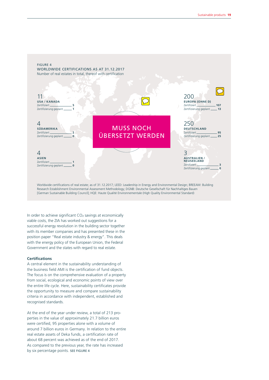

In order to achieve significant  $CO<sub>2</sub>$  savings at economically viable costs, the ZIA has worked out suggestions for a successful energy revolution in the building sector together with its member companies and has presented these in the position paper "Real estate industry & energy". This deals with the energy policy of the European Union, the Federal Government and the states with regard to real estate.

#### **Certifications**

A central element in the sustainability understanding of the business field AMI is the certification of fund objects. The focus is on the comprehensive evaluation of a property from social, ecological and economic points of view over the entire life cycle. Here, sustainability certificates provide the opportunity to measure and compare sustainability criteria in accordance with independent, established and recognised standards.

At the end of the year under review, a total of 213 properties in the value of approximately 21.7 billion euros were certified, 95 properties alone with a volume of around 7 billion euros in Germany. In relation to the entire real estate assets of Deka funds, a certification rate of about 68 percent was achieved as of the end of 2017. As compared to the previous year, the rate has increased by six percentage points. SEE FIGURE 4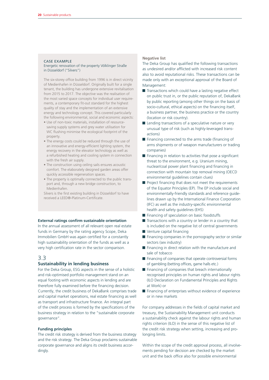# CASE EXAMPLE

#### Energetic renovation of the property Völklinger Straße in Düsseldorf ("Silvers")

The six-storey office building from 1996 is in direct vicinity of Medienhafen in Düsseldorf. Originally built for a single tenant, the building has undergone extensive revitalisation from 2015 to 2017. The objective was the realisation of the most varied space concepts for individual user requirements, a contemporary fit-out standard for the highest quality of stay and the implementation of an extensive energy and technology concept. This covered particularly the following environmental, social and economic aspects:

- Use of non-toxic materials, installation of resourcesaving supply systems and grey water utilisation for WC flushing minimise the ecological footprint of the property.
- The energy costs could be reduced through the use of an innovative and energy-efficient lighting system, the energy recovery in the elevator technology as well as a refurbished heating and cooling system in connection with the fresh air supply.
- The construction using ceiling sails ensures acoustic comfort. The elaborately designed garden areas offer quickly accessible regeneration spaces.
- The property is optimally connected to the public transport and, through a new bridge construction, to Medienhafen.

Silvers is the first existing building in Düsseldorf to have received a LEED®-Platinum-Certificate.

#### **External ratings confirm sustainable orientation**

In the annual assessment of all relevant open real estate funds in Germany by the rating agency Scope, Deka Immobilien GmbH was again certified for a constantly high sustainability orientation of the funds as well as a very high certification rate in the sector comparison.

#### 3.3

#### **Sustainability in lending business**

For the Deka Group, ESG aspects in the sense of a holistic and risk-optimised portfolio management stand on an equal footing with economic aspects in lending and are therefore fully examined before the financing decision. Currently, the credit business of DekaBank comprises trade and capital market operations, real estate financing as well as transport and infrastructure finance. An integral part of the credit process is formed by the specifications of the business strategy in relation to the "sustainable corporate governance".

#### **Funding principles**

The credit risk strategy is derived from the business strategy and the risk strategy. The Deka Group proclaims sustainable corporate governance and aligns its credit business accordingly.

#### **Negative list**

The Deka Group has qualified the following transactions as undesired and/or afflicted with increased risk content also to avoid reputational risks. These transactions can be made only with an exceptional approval of the Board of Management:

- $\blacksquare$  Transactions which could have a lasting negative effect on public trust in, or the public reputation of, DekaBank by public reporting (among other things on the basis of socio-cultural, ethical aspects) on the financing itself, a business partner, the business practice or the country (location or risk country).
- $\blacksquare$  Lending transactions of a speculative nature or very unusual type of risk (such as highly-leveraged transactions)
- $\blacksquare$  Financing connected to the arms trade (financing of arms shipments or of weapon manufacturers or trading companies)
- $\blacksquare$  Financing in relation to activities that pose a significant threat to the environment, e.g. Uranium mining, nuclear/coal power plant financing and financing in connection with mountain top removal mining (OECD environmental guidelines contain clues)
- $\blacksquare$  Project financing that does not meet the requirements of the Equator Principles (EP). The EP include social and environmentally-friendly standards and reference guidelines drawn up by the International Finance Corporation (IFC) as well as the industry-specific environmental health and safety guidelines (EHS)
- $\blacksquare$  Financing of speculation on basic foodstuffs
- $\blacksquare$  Transactions with a country or lender in a country that is included on the negative list of central governments
- Venture capital financing
- $\blacksquare$  Financing companies in the pornography sector or similar sectors (sex industry)
- $\blacksquare$  Financing in direct relation with the manufacture and sale of tobacco
- $\blacksquare$  Financing of companies that operate controversial forms of gambling (betting offices, game halls etc.)
- $\blacksquare$  Financing of companies that breach internationally recognised principles on human rights and labour rights (ILO Declaration on Fundamental Principles and Rights at Work) or
- $\blacksquare$  Financing of enterprises without evidence of experience or in new markets

For company addresses in the fields of capital market and treasury, the Sustainability Management unit conducts a sustainability check against the labour rights and human rights criterion (ILO) in the sense of this negative list of the credit risk strategy when setting, increasing and prolonging limits.

Within the scope of the credit approval process, all involvements pending for decision are checked by the market unit and the back office also for possible environmental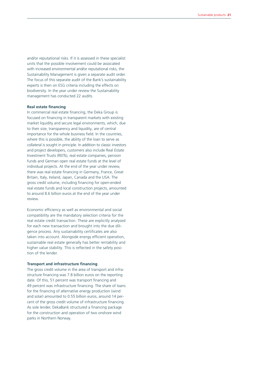and/or reputational risks. If it is assessed in these specialist units that the possible involvement could be associated with increased environmental and/or reputational risks, the Sustainability Management is given a separate audit order. The focus of this separate audit of the Bank's sustainability experts is then on ESG criteria including the effects on biodiversity. In the year under review the Sustainability management has conducted 22 audits.

#### **Real estate financing**

In commercial real estate financing, the Deka Group is focused on financing in transparent markets with existing market liquidity and secure legal environments, which, due to their size, transparency and liquidity, are of central importance for the whole business field. In the countries, where this is possible, the ability of the loan to serve as collateral is sought in principle. In addition to classic investors and project developers, customers also include Real Estate Investment Trusts (REITs), real estate companies, pension funds and German open real estate funds at the level of individual projects. At the end of the year under review, there was real estate financing in Germany, France, Great Britain, Italy, Ireland, Japan, Canada and the USA. The gross credit volume, including financing for open-ended real estate funds and local construction projects, amounted to around 8.6 billion euros at the end of the year under review.

Economic efficiency as well as environmental and social compatibility are the mandatory selection criteria for the real estate credit transaction. These are explicitly analysed for each new transaction and brought into the due diligence process. Any sustainability certificates are also taken into account. Alongside energy efficient operation, sustainable real estate generally has better rentability and higher value stability. This is reflected in the safety position of the lender.

### **Transport and infrastructure financing**

The gross credit volume in the area of transport and infrastructure financing was 7.8 billion euros on the reporting date. Of this, 51 percent was transport financing and 49 percent was infrastructure financing. The share of loans for the financing of alternative energy production (wind and solar) amounted to 0.55 billion euros, around 14 percent of the gross credit volume of infrastructure financing. As sole lender, DekaBank structured a financing package for the construction and operation of two onshore wind parks in Northern Norway.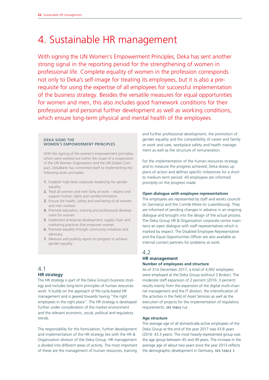# 4. Sustainable HR management

With signing the UN Women's Empowerment Principles, Deka has sent another strong signal in the reporting period for the strengthening of women in professional life. Complete equality of women in the profession corresponds not only to Deka's self-image for treating its employees, but it is also a prerequisite for using the expertise of all employees for successful implementation of the business strategy. Besides the versatile measures for equal opportunities for women and men, this also includes good framework conditions for their professional and personal further development as well as working conditions, which ensure long-term physical and mental health of the employees.

#### DEKA SIGNS THE WOMEN´S EMPOWERMENT PRINCIPLES

With the signing of the women's empowerment principles, which were worked out within the scope of a cooperation of the UN Women Organisation and the UN Global Compact, DekaBank has committed itself to implementing the following seven principles:

- **1.** Establish high-level corporate leadership for gender equality
- **2.** Treat all women and men fairly at work respect and support human rights and nondiscrimination
- **3.** Ensure the health, safety and well-being of all women and men workers
- **4.** Promote education, training and professional development for women
- **5.** Implement enterprise development, supply chain and marketing practices that empower women
- **6.** Promote equality through community initiatives and advocacy
- **7.** Measure and publicly report on progress to achieve gender equality

# 4.1 **HR strategy**

The HR strategy is part of the Deka Group's business strategy and includes long-term principles of human resources work. It builds on the approach of life-cycle-based HR management and is geared towards having "the right employees in the right place". The HR strategy is developed further under consideration of the market environment and the relevant economic, social, political and regulatory trends.

The responsibility for the formulation, further development and implementation of the HR strategy lies with the HR & Organisation division of the Deka Group. HR management is divided into different areas of activity. The most important of these are the management of human resources, training

and further professional development, the promotion of gender equality and the compatibility of career and family or work and care, workplace safety and health management as well as the structure of remuneration.

For the implementation of the human resources strategy and to measure the progress achieved, Deka draws up plans of action and defines specific milestones for a short to medium-term period. All employees are informed promptly on the progress made.

### **Open dialogue with employee representatives**

The employees are represented by staff and works councils (in Germany) and the Comité Mixte (in Luxembourg). They are informed of pending changes in advance in an ongoing dialogue and brought into the design of the actual process. The Deka Group HR & Organisation corporate centre maintains an open dialogue with staff representatives which is marked by respect. The Disabled Employee Representative and the Equal Opportunities Officer are also available as internal contact partners for problems at work.

# 4.2 **HR management**

# **Number of employees and structure**

As of 31st December 2017, a total of 4,492 employees were employed at the Deka Group (without S Broker). The moderate staff expansion of 2 percent (2016: 3 percent) results mainly from the expansion of the digital multi-channel management and the IT division, the intensification of the activities in the field of Asset Services as well as the execution of projects for the implementation of regulatory requirements. SEE TABLE 1+2

#### **Age structure**

The average age of all domestically-active employees of the Deka Group at the end of the year 2017 was 43.8 years (2016: 43.3 years). The most heavily-represented group was the age group between 45 and 49 years. The increase in the average age of about two years since the year 2013 reflects the demographic development in Germany. SEE TABLE 3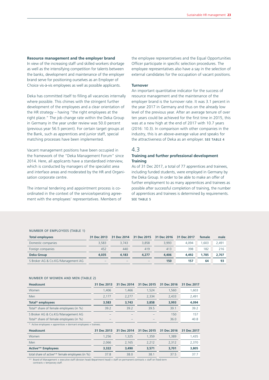#### **Resource management and the employer brand**

In view of the increasing staff und skilled workers shortage as well as the intensifying competition for talents between the banks, development and maintenance of the employer brand serve for positioning ourselves as an Employer of Choice vis-à-vis employees as well as possible applicants.

Deka has committed itself to filling all vacancies internally where possible. This chimes with the stringent further development of the employees and a clear orientation of the HR strategy – having "the right employees at the right place." The job change rate within the Deka Group in Germany in the year under review was 50.0 percent (previous year 56.5 percent). For certain target groups at the Bank, such as apprentices and junior staff, special matching processes have been implemented.

Vacant management positions have been occupied in the framework of the "Deka Management Forum" since 2014. Here, all applicants have a standardised interview, which is conducted by managers of the specialist area and interface areas and moderated by the HR and Organisation corporate centre.

The internal tendering and appointment process is coordinated in the context of the service/operating agreement with the employees' representatives. Members of

the employee representatives and the Equal Opportunities Officer participate in specific selection procedures. The employee representatives also have a say in the selection of external candidates for the occupation of vacant positions.

#### **Turnover**

An important quantitative indicator for the success of resource management and the maintenance of the employer brand is the turnover rate. It was 3.1 percent in the year 2017 in Germany and thus on the already low level of the previous year. After an average tenure of over ten years could be achieved for the first time in 2015, this was at a new high at the end of 2017 with 10.7 years (2016: 10.3). In comparison with other companies in the industry, this is an above-average value and speaks for the attractiveness of Deka as an employer. SEE TABLE 4

#### 4.3

#### **Training and further professional development Training**

As of 31 Dec 2017, a total of 77 apprentices and trainees, including funded students, were employed in Germany by the Deka Group. In order to be able to make an offer of further employment to as many apprentices and trainees as possible after successful completion of training, the number of apprentices and trainees is determined by requirements. SEE TABLE 5

#### NUMBER OF EMPLOYEES (TABLE 1)

| Total employees                   | 31 Dec 2013              | 31 Dec 2014              | 31 Dec 2015              | 31 Dec 2016 | 31 Dec 2017 | female | male  |
|-----------------------------------|--------------------------|--------------------------|--------------------------|-------------|-------------|--------|-------|
| Domestic companies                | 3.583                    | 3.743                    | 3.858                    | 3.993       | 4.094       | .603   | 2.491 |
| Foreign companies                 | 452                      | 440                      | 419                      | 413         | 398         | 182    | 216   |
| <b>Deka Group</b>                 | 4.035                    | 4.183                    | 4,277                    | 4,406       | 4.492       | 1.785  | 2.707 |
| S Broker AG & Co.KG/Management AG | $\overline{\phantom{a}}$ | $\overline{\phantom{a}}$ | $\overline{\phantom{a}}$ | 150         | 157         | 64     | 93    |

#### NUMBER OF WOMEN AND MEN (TABLE 2)

| <b>Headcount</b>                                                 | 31 Dec 2013 | 31 Dec 2014 | 31 Dec 2015 | 31 Dec 2016 | 31 Dec 2017 |
|------------------------------------------------------------------|-------------|-------------|-------------|-------------|-------------|
| Women                                                            | 1,406       | 1,466       | 1,524       | 1,560       | 1,603       |
| <b>Men</b>                                                       | 2,177       | 2,277       | 2,334       | 2,433       | 2,491       |
| Total* employees                                                 | 3,583       | 3,743       | 3,858       | 3,993       | 4,094       |
| Total* share of female employees (in %)                          | 39.2        | 39.2        | 39.5        | 39.1        | 39.2        |
| S Broker AG & Co.KG/Management AG                                |             |             |             | 150         | 157         |
| Total* share of female employees (in %)                          |             |             |             | 36.0        | 40.8        |
| * Active employees + apprentices + dormant employees + trainees. |             |             |             |             |             |
| <b>Headcount</b>                                                 | 31 Dec 2013 | 31 Dec 2014 | 31 Dec 2015 | 31 Dec 2016 | 31 Dec 2017 |
| Women                                                            | 1,256       | 1,325       | 1,359       | 1,389       | 1,435       |
| Men                                                              | 2,066       | 2,165       | 2,212       | 2,312       | 2,370       |
| <b>Active** Employees</b>                                        | 3,322       | 3,490       | 3,571       | 3,701       | 3,805       |

total share of active\*\* female employees (in %) 37.8 38.0 38.1 37.5 37.7 37.7

\*\* Board of Management + executive staff (division head/department head) + staff on permanent contracts + staff on fixed-term contracts + temporary staff.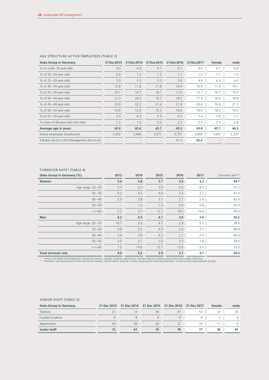| <b>Deka Group in Germany</b>               | 31 Dec 2013 | 31 Dec 2014 | 31 Dec 2015 | 31 Dec 2016 | 31 Dec 2017 | female | male  |
|--------------------------------------------|-------------|-------------|-------------|-------------|-------------|--------|-------|
| % of under 20 year-olds                    | 0.0         | 0.0         | 0.1         | 0.1         | 0.0         | 0.1    | 0.0   |
| $%$ of 20-24 year-olds                     | 0.9         | 1.2         | 1.5         | 1.3         | 1.2         | 1.7    | 1.0   |
| $%$ of 25 - 29 year-olds                   | 5.9         | 5.5         | 5.3         | 5.0         | 4.9         | 6.3    | 4.0   |
| $%$ of 30 – 34 year-olds                   | 12.8        | 11.8        | 11.8        | 10.9        | 10.6        | 11.4   | 10.1  |
| $%$ of 35-39 year-olds                     | 19.1        | 18.7        | 18.1        | 17.0        | 15.7        | 16.7   | 15.0  |
| $%$ of 40-44 year-olds                     | 21.3        | 20.3        | 18.7        | 18.2        | 17.6        | 16.0   | 18.6  |
| $%$ of 45-49 year-olds                     | 22.6        | 22.2        | 21.4        | 21.8        | 20.6        | 19.6   | 21.3  |
| $%$ of 50 $-54$ year-olds                  | 10.8        | 12.6        | 15.3        | 16.8        | 19.0        | 18.2   | 19.5  |
| $%$ of 55 $-59$ year-olds                  | 5.3         | 6.3         | 5.9         | 6.5         | 7.4         | 7.0    | 7.7   |
| % share of 60-year-olds and older          | 1.3         | 1.3         | 2.0         | 2.5         | 2.9         | 2.9    | 2.8   |
| Average age in years                       | 42.0        | 42.4        | 42.7        | 43.3        | 43.8        | 43.1   | 44.2  |
| Active employees (headcount)               | 3,322       | 3,490       | 3,571       | 3,701       | 3,805       | 1,435  | 2,370 |
| S Broker AG & Co.KG/Management AG (in yrs) |             |             |             | 41.3        | 42.0        |        |       |

### AGE STRUCTURE ACTIVE EMPLOYEES (TABLE 3)

# TURNOVER RATE\* (TABLE 4)

| Deka Group in Germany (%)  | 2013 | 2014 | 2015 | 2016 | 2017 | Turnover rate** |
|----------------------------|------|------|------|------|------|-----------------|
| Women                      | 3.6  | 3.8  | 3.7  | 3.4  | 3.2  | 49.7            |
| Age range $20-29$          | 5.3  | 6.3  | 3.9  | 9.2  | 8.5  | 35.5            |
| $30 - 39$                  | 6.2  | 4.5  | 4.9  | 2.4  | 3.2  | 47.4            |
| $40 - 49$                  | 2.0  | 3.8  | 3.1  | 2.7  | 2.4  | 62.9            |
| $50 - 59$                  |      | 1.4  | 1.0  | 0.9  | 0.8  | 60.0            |
| $>$ /= 60                  | 2.2  | 5.7  | 12.1 | 18.5 | 15.6 | 50.0            |
| Men                        | 4.2  | 4.3  | 4.1  | 3.0  | 3.0  | 50.2            |
| Age range 20-29            | 10.7 | 5.0  | 4.7  | 2.9  | 9.7  | 38.9            |
| $30 - 39$                  | 4.8  | 5.5  | 4.9  | 3.6  | 3.5  | 46.9            |
| $40 - 49$                  | 3.6  | 3.6  | 4.2  | 2.1  | 2.5  | 60.0            |
| $50 - 59$                  | 2.0  | 2.7  | 1.6  | 2.3  | 1.8  | 59.4            |
| $>$ /= 60                  | 7.5  | 14.0 | 13.1 | 13.0 | 5.2  | 25.0            |
| <b>Total turnover rate</b> | 4.0  | 4.2  | 3.9  | 3.1  | 3.1  | 50.0            |

\* without the Board of Management, temporary workers, trainees, students, apprentices, trainees/diploma students, pensioners (start supply reference).<br>\*\* Promotion and development of the internal job market; internal befor

# JUNIOR STAFF (TABLE 5)

| Deka Group in Germany  |    |    | 31 Dec 2013 31 Dec 2014 31 Dec 2015 31 Dec 2016 31 Dec 2017 |    | female | male |
|------------------------|----|----|-------------------------------------------------------------|----|--------|------|
| <b>Trainees</b>        |    | 36 | 47                                                          | 53 |        | 30   |
| <b>Funded Students</b> |    |    |                                                             |    |        |      |
| Apprentices            | 39 | 30 | 22                                                          | 16 |        |      |
| <b>Junior staff</b>    |    |    | 78                                                          |    | 36     |      |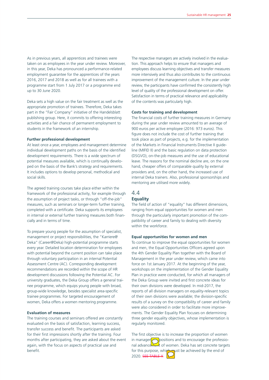As in previous years, all apprentices and trainees were taken on as employees in the year under review. Moreover, in this year, Deka has pronounced a performance-related employment guarantee for the apprentices of the years 2016, 2017 and 2018 as well as for all trainees with a programme start from 1 July 2017 or a programme end up to 30 June 2020.

Deka sets a high value on the fair treatment as well as the appropriate promotion of trainees. Therefore, Deka takes part in the "Fair Company" initiative of the Handelsblatt publishing group. Here, it commits to offering interesting activities and a fair chance of permanent employment to students in the framework of an internship.

#### **Further professional development**

At least once a year, employees and management determine individual development paths on the basis of the identified development requirements. There is a wide spectrum of potential measures available, which is continually developed on the basis of the Bank's strategy and requirements. It includes options to develop personal, methodical and social skills.

The agreed training courses take place either within the framework of the professional activity, for example through the assumption of project tasks, or through "off-the-job" measures, such as seminars or longer-term further training, completed with a certificate. Deka supports its employees in internal or external further training measures both financially and in terms of time.

To prepare young people for the assumption of specialist, management or project responsibilities, the "Karriere@ Deka" (Career@Deka) high-potential programme starts every year. Detailed location determination for employees with potential beyond the current position can take place through voluntary participation in an internal Potential Assessment Centre (AC). Corresponding development recommendations are recorded within the scope of HR development discussions following the Potential AC. For university graduates, the Deka Group offers a general trainee programme, which equips young people with broad, group-wide knowledge, besides specialist area-specific trainee programmes. For targeted encouragement of women, Deka offers a women mentoring programme.

#### **Evaluation of measures**

The training courses and seminars offered are constantly evaluated on the basis of satisfaction, learning success, transfer success and benefit. The participants are asked for their first impressions shortly after the training. Four months after participating, they are asked about the event again, with the focus on aspects of practical use and benefit.

The respective managers are actively involved in the evaluation. This approach helps to ensure that managers and employees discuss learning objectives and transfer measures more intensively and thus also contributes to the continuous improvement of the management culture. In the year under review, the participants have confirmed the consistently high level of quality of the professional development on offer. Satisfaction in terms of practical relevance and applicability of the contents was particularly high.

#### **Costs for training and development**

The financial costs of further training measures in Germany during the year under review amounted to an average of 900 euros per active employee (2016: 973 euros). This figure does not include the cost of further training that took place as part of projects, e.g. for the implementation of the Markets in Financial Instruments Directive II guideline (MIFID II) and the basic regulation on data protection (DSGVO), on-the-job measures and the use of educational leave. The reasons for the nominal decline are, on the one hand, cheaper offers of comparable quality by external providers and, on the other hand, the increased use of internal Deka trainers. Also, professional sponsorships and mentoring are utilised more widely.

# 4.4 **Equality**

The field of action of "equality" has different dimensions, ranging from equal opportunities for women and men through the particularly important promotion of the compatibility of career and family to dealing with diversity within the workforce.

#### **Equal opportunities for women and men**

To continue to improve the equal opportunities for women and men, the Equal Opportunities Officers agreed upon the 4th Gender Equality Plan together with the Board of Management in the year under review, which came into force on 1st January 2017. At the beginning of the year, workshops on the implementation of the Gender Equality Plan in practice were conducted, for which all managers of the Deka Group were invited and first concrete ideas for their own divisions were developed. In mid-2017, the reports of all division managers on equality-relevant topics of their own divisions were available; the division-specific results of a survey on the compatibility of career and family were also considered in order to facilitate more improvements. The Gender Equality Plan focuses on determining three gender equality objectives, whose implementation is regularly monitored.

The first objective is to increase the proportion of women in managen $\sqrt{\epsilon n}$  positions and to encourage the professional advancement of women. Deka has set concrete targets for this purpose, which must be achieved by the end of 2020. SEE TABLE X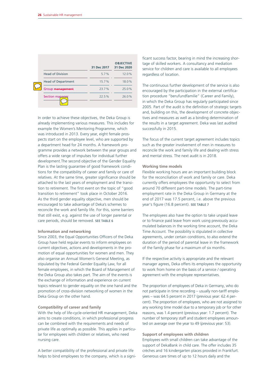|                           | 31 Dec 2017 | <b>OBJECTIVE</b><br>31 Dec 2020 |
|---------------------------|-------------|---------------------------------|
| <b>Head of Division</b>   | 5.7%        | 12.0%                           |
| <b>Head of Department</b> | 15.7%       | 18.0%                           |
| Group management          | 23.7%       | 25.0%                           |
| Section manager           | 22.5%       | 26.0%                           |

In order to achieve these objectives, the Deka Group is already implementing various measures. This includes for example the Women's Mentoring Programme, which was introduced in 2013. Every year, eight female prospects start on the employee level, who are supported by a department head for 24 months. A framework programme provides a network between the year groups and offers a wide range of impulses for individual further development.The second objective of the Gender Equality Plan is the lasting guarantee of good framework conditions for the compatibility of career and family or care of relatives. At the same time, greater significance should be attached to the last years of employment and the transition to retirement. The first event on the topic of "good transition to retirement" took place in October 2016. As the third gender equality objective, men should be encouraged to take advantage of Deka's schemes to reconcile the work and family life. For this, some barriers that still exist, e.g. against the use of longer parental or care periods, should be removed. SEE TABLE 6

#### **Information and networking**

Since 2003, the Equal Opportunities Officers of the Deka Group have held regular events to inform employees on current objectives, actions and developments in the promotion of equal opportunities for women and men. They also organise an Annual Women's General Meeting, as stipulated by the Federal Gender Equality Law, for all female employees, in which the Board of Management of the Deka Group also takes part. The aim of the events is the exchange of information and experience on current topics relevant to gender equality on the one hand and the promotion of cross-division networking of women in the Deka Group on the other hand.

#### **Compatibility of career and family**

With the help of life-cycle-oriented HR management, Deka aims to create conditions, in which professional progress can be combined with the requirements and needs of private life as optimally as possible. This applies in particular for employees with children or relatives, who need nursing care.

A better compatibility of the professional and private life helps to bind employees to the company, which is a signi-

ficant success factor, bearing in mind the increasing shortage of skilled workers. A consultancy and mediation service for children and care is available to all employees regardless of location.

The continuous further development of the service is also encouraged by the participation in the external certification procedure "berufundfamilie" (Career and Family), in which the Deka Group has regularly participated since 2005. Part of the audit is the definition of strategic targets and, building on this, the development of concrete objectives and measures as well as a binding determination of the results in a target agreement. Deka was last audited successfully in 2015.

The focus of the current target agreement includes topics such as the greater involvement of men in measures to reconcile the work and family life and dealing with stress and mental stress. The next audit is in 2018.

#### **Working time models**

Flexible working hours are an important building block for the reconciliation of work and family or care. Deka currently offers employees the opportunity to select from around 70 different part-time models. The part-time employment rate in the Deka Group in Germany at the end of 2017 was 17.5 percent, i.e. above the previous year's figure (16.8 percent). SEE TABLE 7

The employees also have the option to take unpaid leave or to finance paid leave from work using previously accumulated balances in the working time account, the Deka Time Account. The possibility is stipulated in collective agreements, under certain conditions, to also extend the duration of the period of parental leave in the framework of the family phase for a maximum of six months.

If the respective activity is appropriate and the relevant manager agrees, Deka offers its employees the opportunity to work from home on the basis of a service / operating agreement with the employee representatives.

The proportion of employees of Deka in Germany, who do not participate in time recording – usually non-tariff employees – was 64.5 percent in 2017 (previous year: 62.4 percent). The proportion of employees, who are not assigned to any working time model due to a temporary job or for other reasons, was 1.4 percent (previous year: 1.7 percent). The number of temporary staff and student employees amounted on average over the year to 49 (previous year: 53).

#### **Support of employees with children**

Employees with small children can take advantage of the support of DekaBank in child care. The offer includes 35 crèches and 16 kindergarten places provided in Frankfurt. Generous care times of up to 12 hours daily and the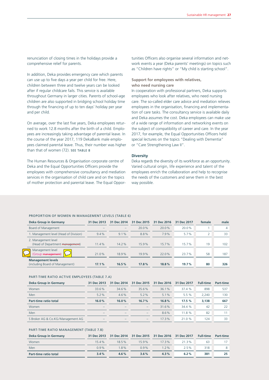renunciation of closing times in the holidays provide a comprehensive relief for parents.

In addition, Deka provides emergency care which parents can use up to five days a year per child for free. Here, children between three and twelve years can be looked after if regular childcare fails. This service is available throughout Germany in larger cities. Parents of school-age children are also supported in bridging school holiday time through the financing of up to ten days' holiday per year and per child.

On average, over the last five years, Deka employees returned to work 12.8 months after the birth of a child. Employees are increasingly taking advantage of parental leave. In the course of the year 2017, 119 DekaBank male employees claimed parental leave. Thus, their number was higher than that of women (72). SEE TABLE 8

The Human Resources & Organisation corporate centre of Deka and the Equal Opportunities Officers provide the employees with comprehensive consultancy and mediation services in the organisation of child care and on the topics of mother protection and parental leave. The Equal Oppor-

tunities Officers also organise several information and network events a year (Deka parents' meetings) on topics such as "Children have rights" or "My child is starting school".

#### **Support for employees with relatives, who need nursing care**

In cooperation with professional partners, Deka supports employees who look after relatives, who need nursing care. The so-called elder care advice and mediation relieves employees in the organisation, financing and implementation of care tasks. The consultancy service is available daily and Deka assumes the cost. Deka employees can make use of a wide range of information and networking events on the subject of compatibility of career and care. In the year 2017, for example, the Equal Opportunities Officers held special lectures on the topics "Dealing with Dementia" or "Care Strengthening Law II".

#### **Diversity**

Deka regards the diversity of its workforce as an opportunity. Varied cultural origin, life experience and talent of the employees enrich the collaboration and help to recognise the needs of the customers and serve them in the best way possible.

#### PROPORTION OF WOMEN IN MANAGEMENT LEVELS (TABLE 6)

| Deka Group in Germany                                       | 31 Dec 2013              | 31 Dec 2014 | 31 Dec 2015 | 31 Dec 2016 | 31 Dec 2017 | female | male |
|-------------------------------------------------------------|--------------------------|-------------|-------------|-------------|-------------|--------|------|
| Board of Management                                         | $\overline{\phantom{a}}$ |             | 20.0%       | 20.0%       | 20.0%       |        | 4    |
| 1. Management level (Head of Division)                      | 9.4%                     | $9.1\%$     | 8.8%        | 7.9%        | 5.7%        | ∍      | 33   |
| 2. Management level<br>(Head of Department management)      | 11.4%                    | 14.2%       | 15.9%       | 15.7%       | 15.7%       | 19     | 102  |
| Management level<br>(Group management)                      | 21.0%                    | 18.9%       | 19.9%       | 22.0%       | 23.7%       | 58     | 187  |
| <b>Management levels</b><br>(including Board of Management) | 17.1%                    | 16.5%       | 17.8%       | 18.8%       | 19.7%       | 80     | 326  |

#### PART-TIME RATIO ACTIVE EMPLOYEES (TABLE 7.A)

| 31 Dec 2013                           | 31 Dec 2014              | 31 Dec 2015              | 31 Dec 2016 | 31 Dec 2017 | <b>Full-time</b> | Part-time |
|---------------------------------------|--------------------------|--------------------------|-------------|-------------|------------------|-----------|
| 33.6%                                 | 34.6%                    | 35.6%                    | 36.1%       | 37.4%       | 898              | 537       |
| $5.2\%$                               | $4.6\%$                  | $5.2\%$                  | 5.1%        | 5.5%        | 2.240            | 130       |
| 16.0%                                 | 16.0%                    | 16.7%                    | 16.8%       | 17.5%       | 3,138            | 667       |
| $\hspace{1.0cm} \rule{1.5cm}{0.15cm}$ | $\qquad \qquad -$        | $\qquad \qquad -$        | 31.6%       | 34.4 %      | 42               | 22        |
| $\qquad \qquad$                       | $\qquad \qquad -$        | $\overline{\phantom{0}}$ | 8.6%        | 11.8%       | 82               | 11        |
| $\overline{\phantom{a}}$              | $\overline{\phantom{a}}$ | $\overline{\phantom{a}}$ | 17.3%       | 21.0%       | 124              | 33        |
|                                       |                          |                          |             |             |                  |           |

#### PART-TIME RATIO MANAGEMENT (TABLE 7.B)

| Deka Group in Germany |         |          |         |          | 31 Dec 2013 31 Dec 2014 31 Dec 2015 31 Dec 2016 31 Dec 2017 Full-time |     | <b>Part-time</b> |
|-----------------------|---------|----------|---------|----------|-----------------------------------------------------------------------|-----|------------------|
| Women                 | 154%    | $18.5\%$ | 159%    | $17.3\%$ | 213%                                                                  | 63  |                  |
| Men                   | $0.9\%$ | 18%      | $0.9\%$ | $1.2\%$  | 25%                                                                   | 318 | 8                |
| Part-time ratio total | $3.4\%$ | $4.6\%$  | $3.6\%$ | 4.3%     | $6.2\%$                                                               | 381 | 25               |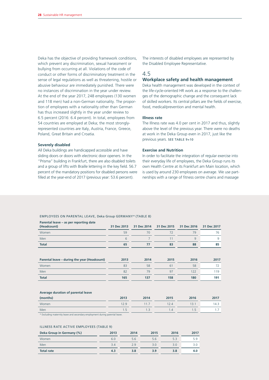Deka has the objective of providing framework conditions, which prevent any discrimination, sexual harassment or bullying from occurring at all. Violations of the code of conduct or other forms of discriminatory treatment in the sense of legal regulations as well as threatening, hostile or abusive behaviour are immediately punished. There were no instances of discrimination in the year under review. At the end of the year 2017, 248 employees (130 women and 118 men) had a non-German nationality. The proportion of employees with a nationality other than German has thus increased slightly in the year under review to 6.5 percent (2016: 6.4 percent). In total, employees from 54 countries are employed at Deka; the most stronglyrepresented countries are Italy, Austria, France, Greece, Poland, Great Britain and Croatia.

#### **Severely disabled**

All Deka buildings are handicapped accessible and have sliding doors or doors with electronic door openers. In the "Prisma" building in Frankfurt, there are also disabled toilets and a group of lifts with Braille lettering in the key field. 56.7 percent of the mandatory positions for disabled persons were filled at the year-end of 2017 (previous year: 53.6 percent).

The interests of disabled employees are represented by the Disabled Employee Representative.

# 4.5

#### **Workplace safety and health management**

Deka health management was developed in the context of the life-cycle-oriented HR work as a response to the challenges of the demographic change and the consequent lack of skilled workers. Its central pillars are the fields of exercise, food, medical/prevention and mental health.

#### **Illness rate**

The Illness rate was 4.0 per cent in 2017 and thus, slightly above the level of the previous year. There were no deaths at work in the Deka Group even in 2017, just like the previous years. SEE TABLE 9+10

#### **Exercise and Nutrition**

In order to facilitate the integration of regular exercise into their everyday life of employees, the Deka Group runs its own Health Centre at its Frankfurt am Main location, which is used by around 230 employees on average. We use partnerships with a range of fitness centre chains and massage

#### EMPLOYEES ON PARENTAL LEAVE, Deka Group GERMANY\* (TABLE 8)

| Parental leave – as per reporting date<br>(Headcount) | 31 Dec 2013 | 31 Dec 2014 | 31 Dec 2015 | 31 Dec 2016 | 31 Dec 2017 |
|-------------------------------------------------------|-------------|-------------|-------------|-------------|-------------|
| Women                                                 | 59          | 70          | 72          | 79          | 76          |
| Men                                                   | 6           |             | 11          | 9           | 9           |
| <b>Total</b>                                          | 65          | 77          | 83          | 88          | 85          |
|                                                       |             |             |             |             |             |
| Parental leave – during the year (Headcount)          | 2013        | 2014        | 2015        | 2016        | 2017        |
| Women                                                 | 83          | 58          | 61          | 58          | 72          |
| Men                                                   | 82          | 79          | 97          | 122         | 119         |
| <b>Total</b>                                          | 165         | 137         | 158         | 180         | 191         |
|                                                       |             |             |             |             |             |

#### **Average duration of parental leave**

| (months)                                                                                                                                                                                                                                         | 2013 | 2014 | 2015 | 2016 | 2017 |
|--------------------------------------------------------------------------------------------------------------------------------------------------------------------------------------------------------------------------------------------------|------|------|------|------|------|
| Women                                                                                                                                                                                                                                            | 12.9 | 11.7 | 12.4 | 13.1 | 14.3 |
| Men                                                                                                                                                                                                                                              | 1.5  | 1.3  | 1.4  | 1.5  | .    |
| the company of the company of the company of the company of the company of<br>the contract of the contract of the contract of<br>the contract of the contract of the contract of the contract of the contract of the contract of the contract of |      |      |      |      |      |

\* Excluding maternity leave and secondary employment during parental leave.

#### ILLNESS RATE ACTIVE EMPLOYEES (TABLE 9)

| Deka Group in Germany (%) | 2013 | 2014 | 2015 | 2016 | 2017 |
|---------------------------|------|------|------|------|------|
| Women                     | 6.0  | 5.6  | 5.6  | 5.3  | 5.9  |
| Men                       | 3.4  | 2.9  | 3.0  | 3.0  | 3.0  |
| <b>Total rate</b>         | 4.3  | 3.8  | 3.9  | 3.8  | 4.0  |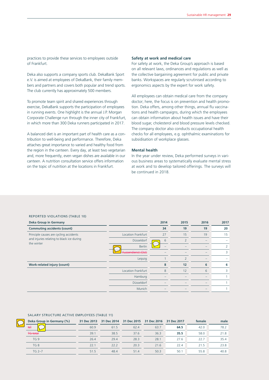practices to provide these services to employees outside of Frankfurt.

Deka also supports a company sports club. DekaBank Sport e.V. is aimed at employees of DekaBank, their family members and partners and covers both popular and trend sports. The club currently has approximately 500 members.

To promote team spirit and shared experiences through exercise, DekaBank supports the participation of employees in running events. One highlight is the annual J.P. Morgan Corporate Challenge run through the inner city of Frankfurt, in which more than 300 Deka runners participated in 2017.

A balanced diet is an important part of health care as a contribution to well-being and performance. Therefore, Deka attaches great importance to varied and healthy food from the region in the canteen. Every day, at least two vegetarian and, more frequently, even vegan dishes are available in our canteen. A nutrition consultation service offers information on the topic of nutrition at the locations in Frankfurt.

#### **Safety at work and medical care**

For safety at work, the Deka Group's approach is based on all relevant laws, ordinances and regulations as well as the collective bargaining agreement for public and private banks. Workspaces are regularly scrutinised according to ergonomics aspects by the expert for work safety.

All employees can obtain medical care from the company doctor; here, the focus is on prevention and health promotion. Deka offers, among other things, annual flu vaccinations and health campaigns, during which the employees can obtain information about health issues and have their blood sugar, cholesterol and blood pressure levels checked. The company doctor also conducts occupational health checks for all employees, e.g. ophthalmic examinations for subsidisation of workplace glasses.

#### **Mental health**

In the year under review, Deka performed surveys in various business areas to systematically evaluate mental stress at work and to develop tailored offerings. The surveys will be continued in 2018.

#### REPORTED VIOLATIONS (TABLE 10)

| <b>Deka Group in Germany</b>                            |                           | 2014 | 2015                     | 2016                     | 2017 |
|---------------------------------------------------------|---------------------------|------|--------------------------|--------------------------|------|
| <b>Commuting accidents (count)</b>                      |                           | 34   | 19                       | 19                       | 20   |
| Principle causes are cycling accidents                  | <b>Location Frankfurt</b> | 27   | 15                       | 19                       | 15   |
| and injuries relating to black ice during<br>the winter | Düsseldorf                | 6    | $\overline{\mathcal{L}}$ | $\overline{\phantom{a}}$ |      |
|                                                         | <b>Berlin</b>             |      |                          | $\overline{\phantom{0}}$ | 2    |
|                                                         | Aussendienst (Ost)        |      |                          | -                        | 3    |
|                                                         | Leipzig                   |      | 2                        |                          |      |
| Work-related injury (count)                             |                           | 8    | 12                       | 6                        | 6    |
|                                                         | <b>Location Frankfurt</b> | 8    | 12                       | 6                        | 3    |
|                                                         | Hamburg                   |      |                          | -                        |      |
|                                                         | Düsseldorf                |      |                          | $-$                      |      |
|                                                         | Munich                    |      |                          |                          |      |

#### SALARY STRUCTURE ACTIVE EMPLOYEES (TABLE 11)

| Deka Group in Germany (%) | 31 Dec 2013 | 31 Dec 2014 | 31 Dec 2015 31 Dec 2016 |      | 31 Dec 2017 | female | male |
|---------------------------|-------------|-------------|-------------------------|------|-------------|--------|------|
| H                         | 60.9        | 61.5        | 62.4                    | 63.7 | 64.5        | 42.0   | 78.2 |
| <b>TG</b> total           | 39.1        | 38.5        | 37.6                    | 36.3 | 35.5        | 58.0   | 21.8 |
| TG <sub>9</sub>           | 26.4        | 29.4        | 28.3                    | 28.1 | 27.6        | 22.7   | 35.4 |
| TG8                       | 22.1        | 22.2        | 20.3                    | 21.6 | 22.4        | 21.5   | 23.8 |
| $TG 2-7$                  | 51.5        | 48.4        | 51.4                    | 50.3 | 50.1        | 55.8   | 40.8 |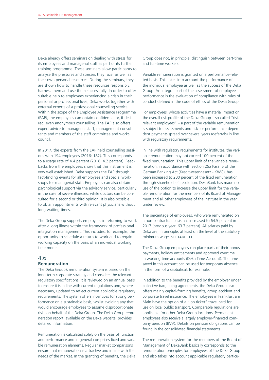Deka already offers seminars on dealing with stress for its employees and managerial staff as part of its further training programme. These seminars allow participants to analyse the pressures and stresses they face, as well as their own personal resources. During the seminars, they are shown how to handle these resources responsibly, harness them and use them successfully. In order to offer suitable help to employees experiencing a crisis in their personal or professional lives, Deka works together with external experts of a professional counselling service. Within the scope of the Employee Assistance Programme (EAP), the employees can obtain confidential or, if desired, even anonymous counselling. The EAP also offers expert advice to managerial staff, management consultants and members of the staff committee and works council.

In 2017, the experts from the EAP held counselling sessions with 194 employees (2016: 182). This corresponds to a usage rate of 4.4 percent (2016: 4.2 percent). Feedbacks from the employees show that this instrument is very well established. Deka supports the EAP through fact-finding events for all employees and special workshops for managerial staff. Employees can also obtain psychological support via the advisory service, particularly in the case of severe illnesses, while doctors can be consulted for a second or third opinion. It is also possible to obtain appointments with relevant physicians without long waiting times.

The Deka Group supports employees in returning to work after a long illness within the framework of professional integration management. This includes, for example, the opportunity to schedule a return to work and to regain working capacity on the basis of an individual working time model.

#### 4.6

### **Remuneration**

The Deka Group's remuneration system is based on the long-term corporate strategy and considers the relevant regulatory specifications. It is reviewed on an annual basis to ensure it is in line with current regulations and, where necessary, updated to reflect current applicable regulatory requirements. The system offers incentives for strong performance on a sustainable basis, whilst avoiding any that would encourage employees to assume disproportionate risks on behalf of the Deka Group. The Deka Group remuneration report, available on the Deka website, provides detailed information.

Remuneration is calculated solely on the basis of function and performance and in general comprises fixed and variable remuneration elements. Regular market comparisons ensure that remuneration is attractive and in line with the needs of the market. In the granting of benefits, the Deka

Group does not, in principle, distinguish between part-time and full-time workers.

Variable remuneration is granted on a performance-related basis. This takes into account the performance of the individual employee as well as the success of the Deka Group. An integral part of the assessment of employee performance is the evaluation of compliance with rules of conduct defined in the code of ethics of the Deka Group.

For employees, whose activities have a material impact on the overall risk profile of the Deka Group – so-called "riskrelevant employees" – a part of the variable remuneration is subject to assessments and risk- or performance-dependent payments spread over several years (deferrals) in line with regulatory requirements.

In line with regulatory requirements for institutes, the variable remuneration may not exceed 100 percent of the fixed remuneration. This upper limit of the variable remuneration, in accordance with Section 25a Para. 5 of the German Banking Act (Kreditwesengesetz - KWG), has been increased to 200 percent of the fixed remuneration through shareholders' resolution. DekaBank has made no use of the option to increase the upper limit for the variable remuneration for the members of its Board of Management and all other employees of the institute in the year under review.

The percentage of employees, who were remunerated on a non-contractual basis has increased to 64.5 percent in 2017 (previous year: 63.7 percent). All salaries paid by Deka are, in principle, at least on the level of the statutory minimum wage. SEE TABLE 11

The Deka Group employees can place parts of their bonus payments, holiday entitlements and approved overtime in working time accounts (Deka Time Account). The time saved in this account can be used for temporary absence in the form of a sabbatical, for example.

In addition to the benefits provided by the employer under collective bargaining agreements, the Deka Group also offers mainly capital-forming benefits, group accident and corporate travel insurance. The employees in Frankfurt am Main have the option of a "job ticket" travel card for use on local public transport. Comparable regulations are applicable for other Deka Group locations. Permanent employees also receive a largely employer-financed company pension (BVV). Details on pension obligations can be found in the consolidated financial statements.

The remuneration system for the members of the Board of Management of DekaBank basically corresponds to the remuneration principles for employees of the Deka Group and also takes into account applicable regulatory particu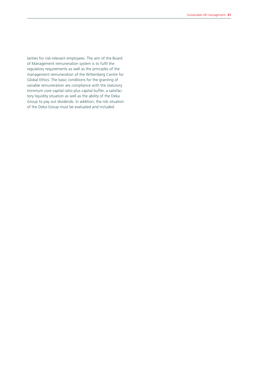larities for risk-relevant employees. The aim of the Board of Management remuneration system is to fulfil the regulatory requirements as well as the principles of the management remuneration of the Wittenberg Centre for Global Ethics. The basic conditions for the granting of variable remuneration are compliance with the statutory minimum core capital ratio plus capital buffer, a satisfactory liquidity situation as well as the ability of the Deka Group to pay out dividends. In addition, the risk situation of the Deka Group must be evaluated and included.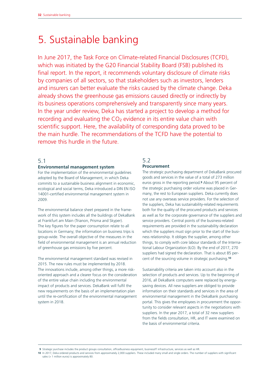# 5. Sustainable banking

In June 2017, the Task Force on Climate-related Financial Disclosures (TCFD), which was initiated by the G20 Financial Stability Board (FSB) published its final report. In the report, it recommends voluntary disclosure of climate risks by companies of all sectors, so that stakeholders such as investors, lenders and insurers can better evaluate the risks caused by the climate change. Deka already shows the greenhouse gas emissions caused directly or indirectly by its business operations comprehensively and transparently since many years. In the year under review, Deka has started a project to develop a method for recording and evaluating the  $CO<sub>2</sub>$  evidence in its entire value chain with scientific support. Here, the availability of corresponding data proved to be the main hurdle. The recommendations of the TCFD have the potential to remove this hurdle in the future.

# 5.1

#### **Environmental management system**

For the implementation of the environmental guidelines adopted by the Board of Management, in which Deka commits to a sustainable business alignment in economic, ecological and social terms, Deka introduced a DIN EN ISO 14001-certified environmental management system in 2009.

The environmental balance sheet prepared in the framework of this system includes all the buildings of DekaBank at Frankfurt am Main (Trianon, Prisma and Skyper). The key figures for the paper consumption relate to all locations in Germany; the information on business trips is group-wide. The overall objective of the measures in the field of environmental management is an annual reduction of greenhouse gas emissions by five percent.

The environmental management standard was revised in 2015. The new rules must be implemented by 2018. The innovations include, among other things, a more riskoriented approach and a clearer focus on the consideration of the entire value chain including the environmental impact of products and services. DekaBank will fulfil the new requirements on the basis of an implementation plan until the re-certification of the environmental management system in 2018.

# 5.2 **Procurement**

The strategic purchasing department of DekaBank procured goods and services in the value of a total of 273 million euros gross in the reporting period.**9** About 95 percent of the strategic purchasing order volume was placed in Germany, the rest to European suppliers. Deka currently does not use any overseas service providers. For the selection of the suppliers, Deka has sustainability-related requirements both for the quality of the procured products and services as well as for the corporate governance of the suppliers and service providers. Central points of the business-related requirements are provided in the sustainability declaration which the suppliers must sign prior to the start of the business relationship. It obliges the supplier, among other things, to comply with core labour standards of the International Labour Organization (ILO). By the end of 2017, 270 suppliers had signed the declaration. That is about 85 percent of the sourcing volume in strategic purchasing.**<sup>10</sup>**

Sustainability criteria are taken into account also in the selection of products and services. Up to the beginning of 2016, all DekaBank computers were replaced by energysaving devices. All new suppliers are obliged to provide information on their standards and services in the area of environmental management in the DekaBank purchasing portal. This gives the employees in procurement the opportunity to consider relevant aspects in the negotiations with suppliers. In the year 2017, a total of 32 new suppliers from the fields consultation, HR, and IT were examined on the basis of environmental criteria.

 **9** Strategic purchase includes the product groups consultation, office/business equipment, business/IT infrastructure, services as well as HR.

**10** In 2017, Deka ordered products and services from approximately 2,000 suppliers. These included many small and single orders. The number of suppliers with significant sales (> 1 million euros) is approximately 80.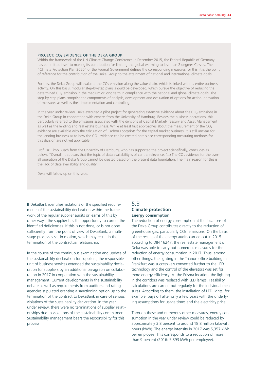#### PROJECT: CO2 EVIDENCE OF THE DEKA GROUP

Within the framework of the UN Climate Change Conference in December 2015, the Federal Republic of Germany has committed itself to making its contribution for limiting the global warming to less than 2 degrees Celsius. The "Climate Protection Plan 2050" of the Federal Government defines the corresponding measures for this; it is the point of reference for the contribution of the Deka Group to the attainment of national and international climate goals.

For this, the Deka Group will evaluate the  $CO_2$  emission along the value chain, which is linked with its entire business activity. On this basis, modular step-by-step plans should be developed, which pursue the objective of reducing the determined CO<sub>2</sub> emission in the medium or long term in compliance with the national and global climate goals. The step-by-step plans comprise the components of analysis, development and evaluation of options for action, derivation of measures as well as their implementation and controlling.

In the year under review, Deka executed a pilot project for generating extensive evidence about the CO<sub>2</sub> emissions in the Deka Group in cooperation with experts from the University of Hamburg. Besides the business operations, this particularly referred to the emissions associated with the divisions of Capital Market/Treasury and Asset Management as well as the lending and real estate business. While at least first approaches about the measurement of the  $CO<sub>2</sub>$  evidence are available with the calculation of Carbon Footprints for the capital market business, it the lending business as to how the CO<sub>2</sub> evidence can be created here since corresponding measuring methods for this division are not yet applicable.

Prof. Dr. Timo Busch from the University of Hamburg, who has supported the project scientifically, concludes as below: "Overall, it appears that the topic of data availability is of central relevance. (...) The CO<sub>2</sub> evidence for the overall operation of the Deka Group cannot be created based on the present data foundation. The main reason for this is the lack of data availability and quality."

Deka will follow up on this issue.

If DekaBank identifies violations of the specified requirements of the sustainability declaration within the framework of the regular supplier audits or learns of this by other ways, the supplier has the opportunity to correct the identified deficiencies. If this is not done, or is not done sufficiently from the point of view of DekaBank, a multistage process is set in motion, which may result in the termination of the contractual relationship.

In the course of the continuous examination and update of the sustainability declaration for suppliers, the responsible unit of business services extended the sustainability declaration for suppliers by an additional paragraph on collaboration in 2017 in cooperation with the sustainability management. Current developments in the sustainability debate as well as requirements from auditors and rating agencies stipulated granting a sanctioning option up to the termination of the contract to DekaBank in case of serious violations of the sustainability declaration. In the year under review, there were no terminations of supplier relationships due to violations of the sustainability commitment. Sustainability management bears the responsibility for this process.

# 5.3 **Climate protection Energy consumption**

The reduction of energy consumption at the locations of the Deka Group contributes directly to the reduction of greenhouse gas, particularly CO<sub>2</sub>, emissions. On the basis of the results of the energy audits carried out in 2015 according to DIN 16247, the real estate management of Deka was able to carry out numerous measures for the reduction of energy consumption in 2017. Thus, among other things, the lighting in the Trianon office building in Frankfurt was successively converted further to the LED technology and the control of the elevators was set for more energy efficiency. At the Prisma location, the lighting in the corridors was replaced with LED lamps. Feasibility calculations are carried out regularly for the individual measures. According to them, the installation of LED lights, for example, pays off after only a few years with the underlying assumptions for usage times and the electricity price.

Through these and numerous other measures, energy consumption in the year under review could be reduced by approximately 3.8 percent to around 18.8 million kilowatt hours (kWh). The energy intensity in 2017 was 5,357 kWh per employee. This corresponds to a reduction of more than 9 percent (2016: 5,893 kWh per employee).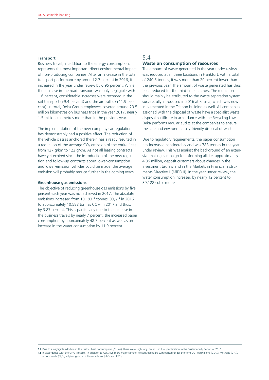#### **Transport**

Business travel, in addition to the energy consumption, represents the most important direct environmental impact of non-producing companies. After an increase in the total transport performance by around 2.7 percent in 2016, it increased in the year under review by 6.95 percent. While the increase in the road transport was only negligible with 1.6 percent, considerable increases were recorded in the rail transport (+9.4 percent) and the air traffic (+11.9 percent). In total, Deka Group employees covered around 23.5 million kilometres on business trips in the year 2017, nearly 1.5 million kilometres more than in the previous year.

The implementation of the new company car regulation has demonstrably had a positive effect. The reduction of the vehicle classes anchored therein has already resulted in a reduction of the average CO<sub>2</sub> emission of the entire fleet from 127 g/km to 122 g/km. As not all leasing contracts have yet expired since the introduction of the new regulation and follow-up contracts about lower-consumption and lower-emission vehicles could be made, the average emission will probably reduce further in the coming years.

#### **Greenhouse gas emissions**

The objective of reducing greenhouse gas emissions by five percent each year was not achieved in 2017. The absolute emissions increased from 10.19311 tonnes CO<sub>2e</sub>12 in 2016 to approximately 10.588 tonnes  $CO<sub>2e</sub>$  in 2017 and thus, by 3.87 percent. This is particularly due to the increase in the business travels by nearly 7 percent, the increased paper consumption by approximately 48.7 percent as well as an increase in the water consumption by 11.9 percent.

# 5.4 **Waste an consumption of resources**

The amount of waste generated in the year under review was reduced at all three locations in Frankfurt; with a total of 240.5 tonnes, it was more than 20 percent lower than the previous year. The amount of waste generated has thus been reduced for the third time in a row. The reduction should mainly be attributed to the waste separation system successfully introduced in 2016 at Prisma, which was now implemented in the Trianon building as well. All companies assigned with the disposal of waste have a specialist waste disposal certificate in accordance with the Recycling Law. Deka performs regular audits at the companies to ensure the safe and environmentally-friendly disposal of waste.

Due to regulatory requirements, the paper consumption has increased considerably and was 788 tonnes in the year under review. This was against the background of an extensive mailing campaign for informing all, i.e. approximately 4.36 million, deposit customers about changes in the investment tax law and in the Markets in Financial Instruments Directive II (MiFID II). In the year under review, the water consumption increased by nearly 12 percent to 39,128 cubic metres.

**<sup>11</sup>** Due to a negligible addition in the district heat consumption (Prisma), there were slight adjustments in the specification in the Sustainability Report of 2016.

**<sup>12</sup>** In accordance with the GHG Protocol, in addition to CO<sub>2</sub>, five more major climate-relevant gases are summarised under the term CO<sub>2</sub>-equivalents (CO<sub>2e</sub>): Methane (CH<sub>4</sub>), nitrous oxide (N<sub>2</sub>O), sulphur groups of fl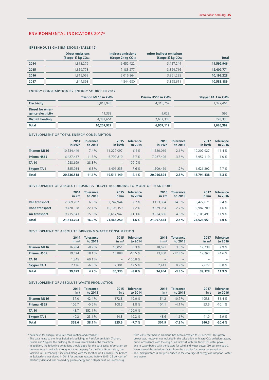# ENVIRONMENTAL INDICATORS 2017\*

#### GREENHOUSE GAS EMISSIONS (TABLE 12)

|      | <b>Direct emissions</b><br>(Scope 1) $kg CO_{2e}$ | Indirect emissions<br>(Scope 2) $kg CO_{2e}$ | other indirect emissions<br>(Scope 3) $kq$ CO <sub>2e</sub> | <b>Total</b> |
|------|---------------------------------------------------|----------------------------------------------|-------------------------------------------------------------|--------------|
| 2014 | 1,813,279                                         | 6,652,422                                    | 3,127,244                                                   | 11,592,946   |
| 2015 | 1,859,778                                         | 7,183,277                                    | 3,364,716                                                   | 12,407,771   |
| 2016 | 1,815,069                                         | 5.016.864                                    | 3.361.295                                                   | 10,193,228   |
| 2017 | 844,898,                                          | 4,844,680                                    | 3,898,611                                                   | 10,588,189   |

#### ENERGY CONSUMPTION BY ENERGY SOURCE IN 2017

|                                       | Trianon ML16 in kWh | Prisma HS55 in kWh | Skyper TA 1 in kWh |
|---------------------------------------|---------------------|--------------------|--------------------|
| <b>Electricity</b>                    | 5.813.943           | 4,315,752          | 1,327,464          |
| Diesel for emer-<br>gency electricity | 11,333              | 9.029              | 595                |
| <b>District heating</b>               | 4.382.651           | 2,632,338          | 298,333            |
| <b>Total</b>                          | 10,207,927          | 6,957,119          | 1,626,392          |

#### DEVELOPMENT OF TOTAL ENERGY CONSUMPTION

|                     | 2014<br>in kWh | Tolerance<br>to 2013 | 2015<br>in kWh           | Tolerance<br>to 2014 | 2016<br>in kWh           | Tolerance<br>to 2015     | 2017<br>in kWh | Tolerance<br>to 2016 |
|---------------------|----------------|----------------------|--------------------------|----------------------|--------------------------|--------------------------|----------------|----------------------|
| <b>Trianon ML16</b> | 10,534,449     | $-7.4%$              | 11.227.097               | 6.6%                 | 11.520.019               | 2.6%                     | 10.207.927     | $-11.4%$             |
| Prisma HS55         | 6.427.437      | $-11.3%$             | 6.792.819                | 5.7%                 | 7.027.406                | 3.5%                     | 6.957.119      | $-1.0%$              |
| <b>TA 10</b>        | .988.699       | $-28.3%$             | $\overline{\phantom{0}}$ | $-100.0\%$           | $\overline{\phantom{a}}$ | $\overline{\phantom{a}}$ | -              |                      |
| Skyper TA 1         | .385.934       | $-6.3%$              | .491.233                 | 7.6%                 | .509.469                 | 1.2%                     | .626.392       | $7.7\%$              |
| <b>Total</b>        | 20,336,518     | $-11.1%$             | 19,511,149               | $-4.1%$              | 20.056.894               | 2.8%                     | 18,791,438     | $-6.3%$              |

#### DEVELOPMENT OF ABSOLUTE BUSINESS TRAVEL ACCORDING TO MODE OF TRANSPORT

|                       | 2014<br>in km | <b>Tolerance</b><br>to 2013 | 2015<br>in km | <b>Tolerance</b><br>to 2014 | 2016<br>in km | <b>Tolerance</b><br>to 2015 | 2017<br>in km | <b>Tolerance</b><br>to 2016 |
|-----------------------|---------------|-----------------------------|---------------|-----------------------------|---------------|-----------------------------|---------------|-----------------------------|
| <b>Rail transport</b> | 2.669.702     | 6.3%                        | 2.742.944     | 2.7%                        | 3.133.884     | 14.3%                       | 3.427.671     | 9.4%                        |
| <b>Road transport</b> | 9.428.358     | 22.1%                       | 10.105.359    | 7.2%                        | 9.829.064     | $-2.7%$                     | 9.987.789     | 1.6%                        |
| Air transport         | 9.715.643     | 15.3%                       | 8.617.947     | $-11.3%$                    | 9.034.886     | 4.8%                        | 10.106.491    | 11.9%                       |
| <b>Total</b>          | 21,813,703    | 16.9%                       | 21,466,250    | $-1.6%$                     | 21,997,834    | 2.5%                        | 23,521,951    | 7.0%                        |

# DEVELOPMENT OF ABSOLUTE DRINKING WATER CONSUMPTION

|                     | 2014<br>in m <sup>3</sup> | <b>Tolerance</b><br>to 2013 | 2015<br>in m <sup>3</sup> | <b>Tolerance</b><br>to 2014 | 2016<br>$\mathsf{in} \ \mathsf{m}^3$ | <b>Tolerance</b><br>to 2015 | 2017<br>in m <sup>3</sup> | <b>Tolerance</b><br>to 2016 |
|---------------------|---------------------------|-----------------------------|---------------------------|-----------------------------|--------------------------------------|-----------------------------|---------------------------|-----------------------------|
| <b>Trianon ML16</b> | 16.984                    | $-8.9%$                     | 18.051                    | 6.3%                        | 18.691                               | 3.5%                        | 19,238                    | 2.9%                        |
| Prisma HS55         | 19.024                    | 18.1%                       | 15,888                    | $-16.5%$                    | 13,850                               | $-12.8%$                    | 17.263                    | 24.6%                       |
| <b>TA 10</b>        | 1.345                     | 60.1%                       | $-$                       | $-100.0\%$                  | -                                    | $\qquad \qquad -$           | $\overline{\phantom{a}}$  |                             |
| <b>Skyper TA 1</b>  | 2.126                     | $-6.8%$                     | 2.391                     | 12.5%                       | 2.413                                | 0.9%                        | 2.627                     | 8.8%                        |
| <b>Total</b>        | 39,479                    | 4.2%                        | 36,330                    | $-8.0%$                     | 34,954                               | $-3.8%$                     | 39,128                    | 11.9%                       |

#### DEVELOPMENT OF ABSOLUTE WASTE PRODUCTION

|                     | 2014<br>in t | <b>Tolerance</b><br>to 2013 | 2015<br>in t | <b>Tolerance</b><br>to 2014 | 2016<br>in t             | <b>Tolerance</b><br>to 2015 | 2017<br>in t | <b>Tolerance</b><br>to 2016 |
|---------------------|--------------|-----------------------------|--------------|-----------------------------|--------------------------|-----------------------------|--------------|-----------------------------|
| <b>Trianon ML16</b> | 157.0        | 42.4%                       | 172.8        | 10.0%                       | 154.2                    | $-10.7%$                    | 105.8        | $-31.4%$                    |
| Prisma HS55         | 106.7        | $-0.6%$                     | 108.6        | 1.8%                        | 104.1                    | $-4.1%$                     | 93.6         | $-10.1%$                    |
| <b>TA 10</b>        | 48.7         | 852.1%                      | $-$          | $-100.0\%$                  | $\overline{\phantom{a}}$ | $\overline{\phantom{a}}$    | -            |                             |
| Skyper TA 1         | 40.2         | 23.1%                       | 44.3         | 10.2%                       | 43.6                     | $-1.6%$                     | 41.0         | $-5.9%$                     |
| <b>Total</b>        | 352.6        | 38.1%                       | 325.6        | $-7.7%$                     | 301.9                    | $-7.3%$                     | 240.5        | $-20.4%$                    |

\* data basis for energy / resource consumption and emissions:

– The data relate to the three DekaBank buildings in Frankfurt am Main (Trianon, Prisma and Skyper), the building TA 10 was demolished in the meantime.

– In addition, the following exceptions should apply for the data basis: Information on business trips is available throughout the company for the Deka Group. Here, the location in Luxembourg is included along with the locations in Germany. The branch in Switzerland was closed in 2015 for business reasons. Before 2015, 25 per cent of electricity demand was covered by green energy and 100 per cent in Luxembourg,

from 2016 the share in Frankfurt has been increased to 75 per cent. This green power was, however, not included in the calculation with zero CO<sub>2</sub> emission factors, but in accordance with the origin, in Frankfurt with the factors, and in Luxembourg with the factors for wind and water power (50 per cent each). We obtained the emissions factor from the supplier for power consumption.

– The Leipzig branch is not yet included in the coverage of energy consumption, water and waste.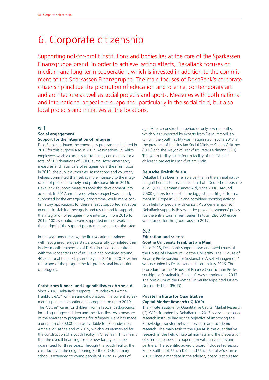# 6. Corporate citizenship

Supporting not-for-profit institutions and bodies lies at the core of the Sparkassen Finanzgruppe brand. In order to achieve lasting effects, DekaBank focuses on medium and long-term cooperation, which is invested in addition to the commitment of the Sparkassen Finanzgruppe. The main focuses of DekaBank's corporate citizenship include the promotion of education and science, contemporary art and architecture as well as social projects and sports. Measures with both national and international appeal are supported, particularly in the social field, but also local projects and initiatives at the locations.

### 6.1

#### **Social engagement Support for the integration of refugees**

DekaBank continued the emergency programme initiated in 2015 for this purpose also in 2017. Associations, in which employees work voluntarily for refugees, could apply for a total of 100 donations of 1,000 euros. After emergency measures and initial care of refugees were the main focus in 2015, the public authorities, associations and voluntary helpers committed themselves more intensely to the integration of people in society and professional life in 2016. DekaBank's support measures took this development into account: In 2017, employees, whose project was already supported by the emergency programme, could make confirmatory applications for these already supported initiatives in order to stabilise their goals and results and to support the integration of refugees more intensely. From 2015 to 2017, 100 associations were supported in their work and the budget of the support programme was thus exhausted.

In the year under review, the first vocational trainees with recognised refugee status successfully completed their twelve-month traineeship at Deka. In close cooperation with the Jobcenter Frankfurt, Deka had provided around 40 additional traineeships in the years 2016 to 2017 within the scope of the programme for professional integration of refugees.

#### **Christliches Kinder- und Jugendhilfswerk Arche e.V.**

Since 2008, DekaBank supports "Freundeskreis Arche Frankfurt e.V." with an annual donation. The current agreement stipulates to continue this cooperation up to 2019. The "Arche" cares for children from all social backgrounds, including refugee children and their families. As a measure of the emergency programme for refugees, Deka has made a donation of 500,000 euros available to "Freundeskreis Arche e.V." at the end of 2015, which was earmarked for the construction of a youth facility in Griesheim. This meant that the overall financing for the new facility could be guaranteed for three years. Through the youth facility, the child facility at the neighbouring Berthold-Otto primary school is extended to young people of 12 to 17 years of

age. After a construction period of only seven months, which was supported by experts from Deka Immobilien GmbH, the youth facility was inaugurated in June 2017 in the presence of the Hessian Social Minister Stefan Grüttner (CDU) and the Mayor of Frankfurt, Peter Feldmann (SPD). The youth facility is the fourth facility of the "Arche" children's project in Frankfurt am Main.

#### **Deutsche Krebshilfe e.V.**

DekaBank has been a reliable partner in the annual national golf benefit tournaments in aid of "Deutsche Krebshilfe e. V." (DKH, German Cancer Aid) since 2006. Around 7,500 golfers took part in the biggest benefit golf tournament in Europe in 2017 and combined sporting activity with help for people with cancer. As a general sponsor, DekaBank supports this event by providing winners' prizes for the entire tournament series. In total, 280,000 euros were raised for this good cause in 2017.

### 6.2

#### **Education and science Goethe University Frankfurt am Main**

Since 2016, DekaBank supports two endowed chairs at the House of Finance of Goethe University. The "House of Finance Professorship for Sustainable Asset Management" was occupied by Dr. Alexander Hillert in July 2016. The procedure for the "House of Finance Qualification Professorship for Sustainable Banking" was completed in 2017. The presidium of the Goethe University appointed Özlem Dursun-de Neef (Ph. D).

### **Private Institute for Quantitative Capital Market Research (IQ-KAP)**

The Private Institute for Quantitative Capital Market Research (IQ-KAP), founded by DekaBank in 2013 is a science-based research institute having the objective of improving the knowledge transfer between practice and academic research. The main task of the IQ-KAP is the quantitative research in the field of capital markets and the preparation of scientific papers in cooperation with universities and partners. The scientific advisory board includes Professors Frank Bulthaupt, Ulrich Klüh and Ulrich Schollwöck since 2013. Since a mandate in the advisory board is stipulated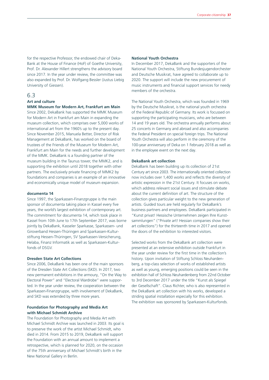for the respective Professor, the endowed chair of Deka-Bank at the House of Finance (HoF) of Goethe University, Prof. Dr. Alexander Hillert strengthens the advisory board since 2017. In the year under review, the committee was also expanded by Prof. Dr. Wolfgang Bessler (Justus Liebig University of Giessen).

# 6.3

# **Art and culture**

**MMK Museum for Modern Art, Frankfurt am Main** Since 2002, DekaBank has supported the MMK Museum for Modern Art in Frankfurt am Main in expanding the museum collection, which comprises over 5,000 works of international art from the 1960's up to the present day. Since November 2015, Manuela Better, Director of Risk Management at DekaBank, has worked on the board of trustees of the Friends of the Museum for Modern Art, Frankfurt am Main for the needs and further development of the MMK. DekaBank is a founding partner of the museum building in the Taunus tower, the MMK2, and is supporting the exhibition until 2018 together with other partners. The exclusively private financing of MMK2 by foundations and companies is an example of an innovative and economically unique model of museum expansion.

#### **documenta 14**

Since 1997, the Sparkassen-Finanzgruppe is the main sponsor of documenta taking place in Kassel every five years, the world's largest exhibition of contemporary art. The commitment for documenta 14, which took place in Kassel from 10th June to 17th September 2017, was borne jointly by DekaBank, Kasseler Sparkasse, Sparkassen- und Giroverband Hessen-Thüringen and Sparkassen-Kulturstiftung Hessen-Thüringen, SV Sparkassen-Versicherung, Helaba, Finanz Informatik as well as Sparkassen-Kulturfonds of DSGV.

#### **Dresden State Art Collections**

Since 2006, DekaBank has been one of the main sponsors of the Dresden State Art Collections (SKD). In 2017, two new permanent exhibitions in the armoury, "On the Way to Electoral Power" and "Electoral Wardrobe" were supported. In the year under review, the cooperation between the Sparkassen-Finanzgruppe, with involvement of DekaBank, and SKD was extended by three more years.

### **Foundation for Photography and Media Art with Michael Schmidt Archive**

The Foundation for Photography and Media Art with Michael Schmidt Archive was launched in 2003. Its goal is to preserve the work of the artist Michael Schmidt, who died in 2014. From 2015 to 2019, DekaBank will support the Foundation with an annual amount to implement a retrospective, which is planned for 2020, on the occasion of the 75th anniversary of Michael Schmidt's birth in the New National Gallery in Berlin.

#### **National Youth Orchestra**

In December 2017, DekaBank and the supporters of the National Youth Orchestra, Stiftung Bundesjugendorchester and Deutsche Musikrat, have agreed to collaborate up to 2020. The support will include the new procurement of music instruments and financial support services for needy members of the orchestra.

The National Youth Orchestra, which was founded in 1969 by the Deutsche Musikrat, is the national youth orchestra of the Federal Republic of Germany. Its work is focussed on supporting the participating musicians, who are between 14 and 19 years old. The orchestra annually performs about 25 concerts in Germany and abroad and also accompanies the Federal President on special foreign trips. The National Youth Orchestra will also perform in the ceremony of the 100-year anniversary of Deka on 1 February 2018 as well as in the employee event on the next day.

#### **DekaBank art collection**

DekaBank has been building up its collection of 21st Century art since 2003. The internationally oriented collection now includes over 1,400 works and reflects the diversity of artistic expression in the 21st Century. It focuses on works, which address relevant social issues and stimulate debate about the current definition of art. The structure of the collection gives particular weight to the new generation of artists. Guided tours are held regularly for DekaBank's business partners and employees. DekaBank participated in "Kunst privat! Hessische Unternehmen zeigen Ihre Kunstsammlungen" ("Private art! Hessian companies show their art collections") for the thirteenth time in 2017 and opened the doors of the exhibition to interested visitors.

Selected works from the DekaBank art collection were presented at an extensive exhibition outside Frankfurt in the year under review for the first time in the collection's history. Upon invitation of Stiftung Schloss Neuhardenberg, a top-class selection of works of established artists as well as young, emerging positions could be seen in the exhibition hall of Schloss Neuhardenberg from 22nd October to 3rd December 2017 under the title "Kunst als Spiegel der Gesellschaft". Claus Richter, who is also represented in the DekaBank art collection with his works, developed a striding spatial installation especially for this exhibition. The exhibition was sponsored by Sparkassen-Kulturfonds.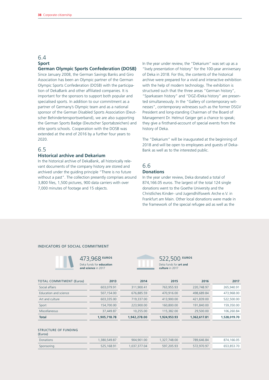# 6.4 **Sport**

# **German Olympic Sports Confederation (DOSB)**

Since January 2008, the German Savings Banks and Giro Association has been an Olympic partner of the German Olympic Sports Confederation (DOSB) with the participation of DekaBank and other affiliated companies. It is important for the sponsors to support both popular and specialised sports. In addition to our commitment as a partner of Germany's Olympic team and as a national sponsor of the German Disabled Sports Association (Deutscher Behindertensportsverband), we are also supporting the German Sports Badge (Deutscher Sportabzeichen) and elite sports schools. Cooperation with the DOSB was extended at the end of 2016 by a further four years to 2020.

# 6.5

#### **Historical archive and Dekarium**

In the historical archive of DekaBank, all historically relevant documents of the company history are stored and archived under the guiding principle "There is no future without a past". The collection presently comprises around 3,800 files, 1,500 pictures, 900 data carriers with over 7,000 minutes of footage and 15 objects.

In the year under review, the "Dekarium" was set up as a "lively presentation of history" for the 100-year anniversary of Deka in 2018. For this, the contents of the historical archive were prepared for a vivid and interactive exhibition with the help of modern technology. The exhibition is structured such that the three areas "German history", "Sparkassen history" and "DGZ-/Deka history" are presented simultaneously. In the "Gallery of contemporary witnesses", contemporary witnesses such as the former DSGV President and long-standing Chairman of the Board of Management Dr. Helmut Geiger get a chance to speak; they give a firsthand-account of special events from the history of Deka.

The "Dekarium" will be inaugurated at the beginning of 2018 and will be open to employees and guests of Deka-Bank as well as to the interested public.

# 6.6 **Donations**

In the year under review, Deka donated a total of 874,166.05 euros. The largest of the total 124 single donations went to the Goethe University and the Christliches Kinder- und Jugendhilfswerk Arche e.V. in Frankfurt am Main. Other local donations were made in the framework of the special refugee aid as well as the

#### INDICATORS OF SOCIAL COMMITMENT



473,968 **EUROS** Deka funds for **education and science** in 2017



522,500 **EUROS** Deka funds for **art and culture** in 2017

| <b>TOTAL COMMITMENT (Euros)</b> | 2013         | 2014         | 2015         | 2016         | 2017         |
|---------------------------------|--------------|--------------|--------------|--------------|--------------|
| Social affairs                  | 603,079.91   | 311,900.41   | 763,955,93   | 220,748.97   | 265,940.91   |
| Education and science           | 507,154.00   | 676,885.59   | 470,916,00   | 498,689.84   | 473,968.00   |
| Art and culture                 | 603,335.00   | 719,337.00   | 413,900.00   | 421,839.00   | 522,500.00   |
| Sport                           | 154,700.00   | 223,900,00   | 160,800.00   | 191,840.00   | 159,350.00   |
| <b>Miscellaneous</b>            | 37,449.87    | 10.255.00    | 115,382.00   | 29,500.00    | 106,260.84   |
| <b>Total</b>                    | 1,905,718.78 | 1,942,278.00 | 1,924,953,93 | 1,362,617.81 | 1,528,019.70 |

#### STRUCTURE OF FUNDING (Euros)

| <b>Donations</b> | .380.549.87 | 904.901.00 | 1,327,748,00 | 789,646,84 | 874.166.05 |
|------------------|-------------|------------|--------------|------------|------------|
| Sponsoring       | 525,168.91  | 037.377.04 | 597.205.93   | 572,970.97 | 653,853,70 |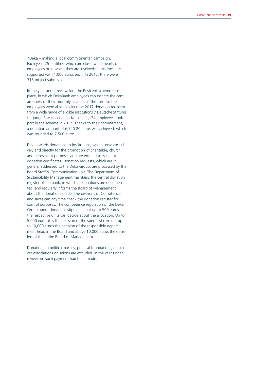"Deka – making a local commitment!" campaign. Each year, 25 facilities, which are close to the hearts of employees or in which they are involved themselves, are supported with 1,000 euros each. In 2017, there were 316 project submissions.

In the year under review too, the Restcent scheme took place, in which DekaBank employees can donate the cent amounts of their monthly salaries. In the run-up, the employees were able to select the 2017 donation recipient from a wide range of eligible institutions ("Deutsche Stiftung für junge Erwachsene mit Krebs"). 1,174 employees took part in the scheme in 2017. Thanks to their commitment, a donation amount of 6,720.20 euros was achieved, which was rounded to 7,500 euros.

Deka awards donations to institutions, which serve exclusively and directly for the promotion of charitable, church and benevolent purposes and are entitled to issue tax donation certificates. Donation requests, which are in general addressed to the Deka Group, are processed by the Board Staff & Communication unit. The Department of Sustainability Management maintains the central donation register of the bank, in which all donations are documented, and regularly informs the Board of Management about the donations made. The divisions of Compliance and Taxes can any time check the donation register for control purposes. The competence regulation of the Deka Group about donations stipulates that up to 500 euros, the respective units can decide about the allocation. Up to 5,000 euros it is the decision of the specialist division, up to 10,000 euros the decision of the responsible department head in the Board and above 10,000 euros the decision of the entire Board of Management.

Donations to political parties, political foundations, employer associations or unions are excluded. In the year under review, no such payment had been made.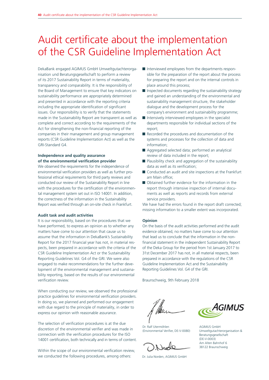# Audit certificate about the implementation of the CSR Guideline Implementation Act

DekaBank engaged AGIMUS GmbH Umweltgutachterorganisation und Beratungsgesellschaft to perform a review of its 2017 Sustainability Report in terms of materiality, transparency and comparability. It is the responsibility of the Board of Management to ensure that key indicators on sustainability performance are appropriately determined and presented in accordance with the reporting criteria including the appropriate identification of significant issues. Our responsibility is to verify that the statements made in the Sustainability Report are transparent as well as complete and correct according to the requirements of the Act for strengthening the non-financial reporting of the companies in their management and group management reports (CSR Guideline Implementation Act) as well as the GRI-Standard G4.

# **Independence and quality assurance of the environmental verification provider**

We observed the requirements for the independence of environmental verification providers as well as further professional ethical requirements for third party reviews and conducted our review of the Sustainability Report in line with the procedures for the certification of the environmental management system set out in ISO 14001. In addition, the correctness of the information in the Sustainability Report was verified through an on-site check in Frankfurt.

#### **Audit task and audit activities**

It is our responsibility, based on the procedures that we have performed, to express an opinion as to whether any matters have come to our attention that cause us to assume that the information in DekaBank's Sustainability Report for the 2017 financial year has not, in material respects, been prepared in accordance with the criteria of the CSR Guideline Implementation Act or the Sustainability Reporting Guidelines Vol. G4 of the GRI. We were also engaged to make recommendations for the further development of the environmental management and sustainability reporting, based on the results of our environmental verification review.

When conducting our review, we observed the professional practice guidelines for environmental verification providers. In doing so, we planned and performed our engagement with due regard to the principle of materiality, in order to express our opinion with reasonable assurance.

The selection of verification procedures is at the due discretion of the environmental verifier and was made in connection with the verification procedures for the ISO 14001 certification, both technically and in terms of content.

Within the scope of our environmental verification review, we conducted the following procedures, among others:

- Interviewed employees from the departments responsible for the preparation of the report about the process for preparing the report and on the internal controls in place around this process;
- $\blacksquare$  Inspected documents regarding the sustainability strategy and gained an understanding of the environmental and sustainability management structure, the stakeholder dialogue and the development process for the company's environment and sustainability programme;
- $\blacksquare$  Intensively interviewed employees in the specialist departments responsible for individual sections of the report;
- Recorded the procedures and documentation of the systems and processes for the collection of data and information;
- Aggregated selected data; performed an analytical review of data included in the report;
- $\blacksquare$  Plausibility check and aggregation of the sustainability data as well as its verification;
- Conducted an audit and site inspections at the Frankfurt am Main office;
- Obtained further evidence for the information in the report through intensive inspection of internal documents as well as reports and records from external service providers.

We have had the errors found in the report draft corrected: missing information to a smaller extent was incorporated.

#### **Opinion**

On the basis of the audit activities performed and the audit evidence obtained, no matters have come to our attention that lead us to conclude that the information in the nonfinancial statement in the independent Sustainability Report of the Deka Group for the period from 1st January 2017 to 31st December 2017 has not, in all material respects, been prepared in accordance with the regulations of the CSR Guideline Implementation Act and the Sustainability Reporting Guidelines Vol. G4 of the GRI.

Braunschweig, 9th February 2018

Dr. Ralf Utermöhlen (Environmental Verifier, DE-V-0080)

Dr. Julia Norden, AGIMUS GmbH



AGIMUS GmbH Umweltgutachterorganisation & Beratungsgesellschaft (DE-V-0003) Am Alten Bahnhof 6 38122 Braunschweig